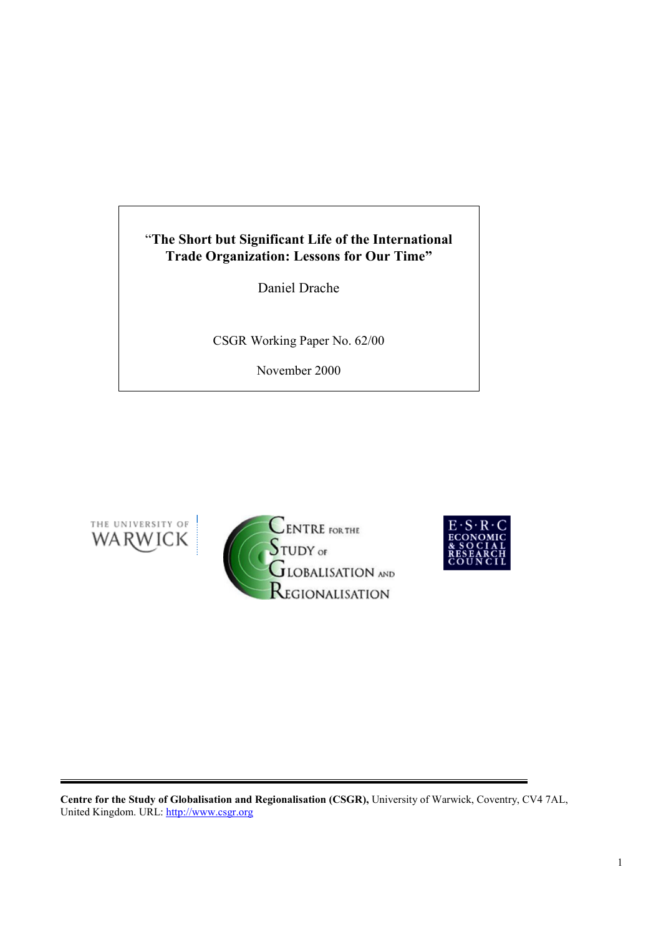# "**The Short but Significant Life of the International Trade Organization: Lessons for Our Time"**

Daniel Drache

CSGR Working Paper No. 62/00

November 2000







**Centre for the Study of Globalisation and Regionalisation (CSGR),** University of Warwick, Coventry, CV4 7AL, United Kingdom. URL: http://www.csgr.org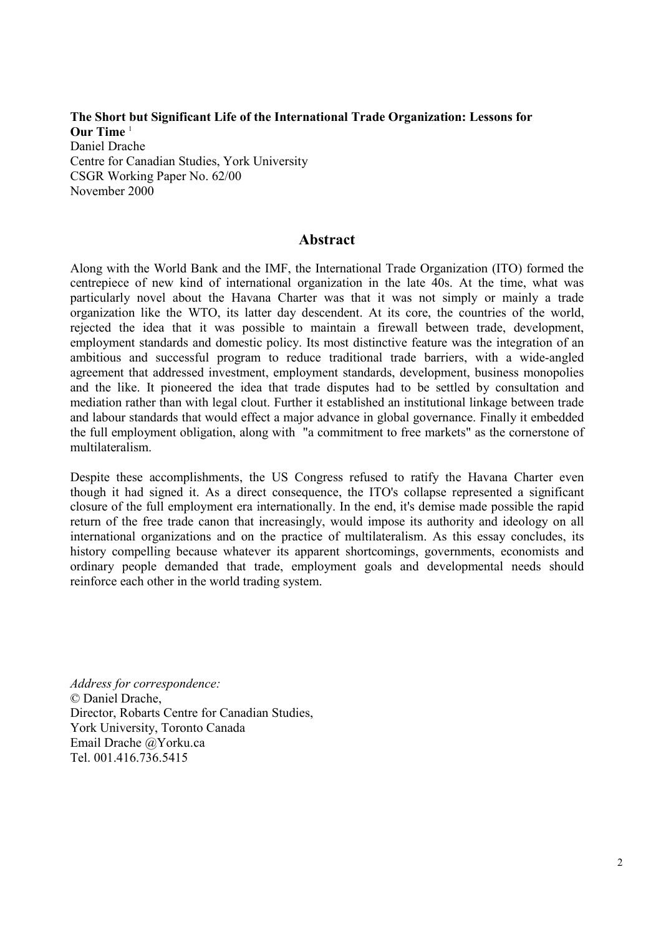**The Short but Significant Life of the International Trade Organization: Lessons for Our Time** <sup>1</sup> Daniel Drache Centre for Canadian Studies, York University CSGR Working Paper No. 62/00 November 2000

### **Abstract**

Along with the World Bank and the IMF, the International Trade Organization (ITO) formed the centrepiece of new kind of international organization in the late 40s. At the time, what was particularly novel about the Havana Charter was that it was not simply or mainly a trade organization like the WTO, its latter day descendent. At its core, the countries of the world, rejected the idea that it was possible to maintain a firewall between trade, development, employment standards and domestic policy. Its most distinctive feature was the integration of an ambitious and successful program to reduce traditional trade barriers, with a wide-angled agreement that addressed investment, employment standards, development, business monopolies and the like. It pioneered the idea that trade disputes had to be settled by consultation and mediation rather than with legal clout. Further it established an institutional linkage between trade and labour standards that would effect a major advance in global governance. Finally it embedded the full employment obligation, along with "a commitment to free markets" as the cornerstone of multilateralism.

Despite these accomplishments, the US Congress refused to ratify the Havana Charter even though it had signed it. As a direct consequence, the ITO's collapse represented a significant closure of the full employment era internationally. In the end, it's demise made possible the rapid return of the free trade canon that increasingly, would impose its authority and ideology on all international organizations and on the practice of multilateralism. As this essay concludes, its history compelling because whatever its apparent shortcomings, governments, economists and ordinary people demanded that trade, employment goals and developmental needs should reinforce each other in the world trading system.

*Address for correspondence:* © Daniel Drache, Director, Robarts Centre for Canadian Studies, York University, Toronto Canada Email Drache @Yorku.ca Tel. 001.416.736.5415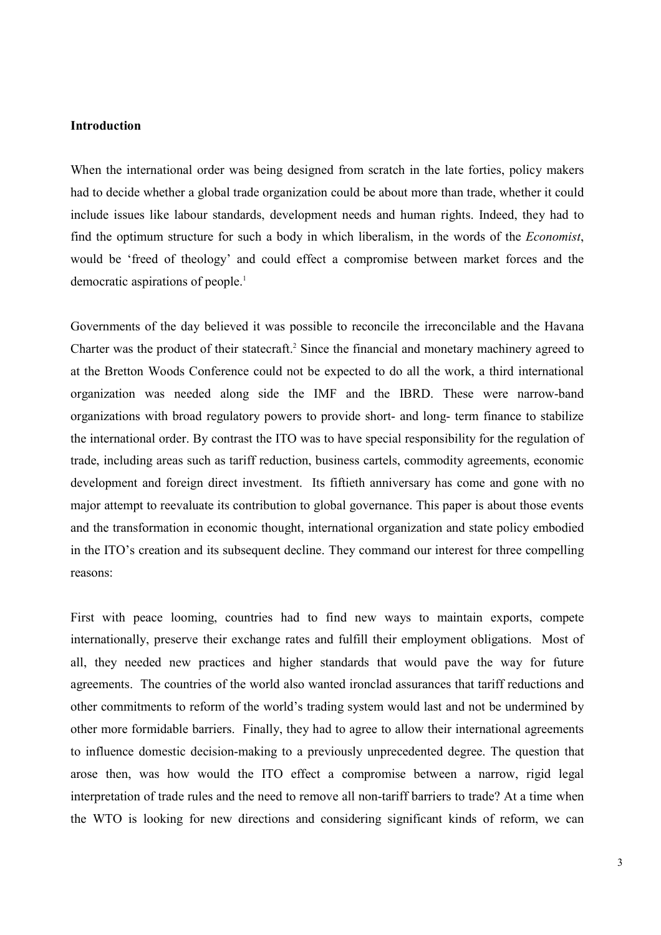### **Introduction**

When the international order was being designed from scratch in the late forties, policy makers had to decide whether a global trade organization could be about more than trade, whether it could include issues like labour standards, development needs and human rights. Indeed, they had to find the optimum structure for such a body in which liberalism, in the words of the *Economist*, would be 'freed of theology' and could effect a compromise between market forces and the democratic aspirations of people.<sup>1</sup>

Governments of the day believed it was possible to reconcile the irreconcilable and the Havana Charter was the product of their statecraft.<sup>2</sup> Since the financial and monetary machinery agreed to at the Bretton Woods Conference could not be expected to do all the work, a third international organization was needed along side the IMF and the IBRD. These were narrow-band organizations with broad regulatory powers to provide short- and long- term finance to stabilize the international order. By contrast the ITO was to have special responsibility for the regulation of trade, including areas such as tariff reduction, business cartels, commodity agreements, economic development and foreign direct investment. Its fiftieth anniversary has come and gone with no major attempt to reevaluate its contribution to global governance. This paper is about those events and the transformation in economic thought, international organization and state policy embodied in the ITO's creation and its subsequent decline. They command our interest for three compelling reasons:

First with peace looming, countries had to find new ways to maintain exports, compete internationally, preserve their exchange rates and fulfill their employment obligations. Most of all, they needed new practices and higher standards that would pave the way for future agreements. The countries of the world also wanted ironclad assurances that tariff reductions and other commitments to reform of the world's trading system would last and not be undermined by other more formidable barriers. Finally, they had to agree to allow their international agreements to influence domestic decision-making to a previously unprecedented degree. The question that arose then, was how would the ITO effect a compromise between a narrow, rigid legal interpretation of trade rules and the need to remove all non-tariff barriers to trade? At a time when the WTO is looking for new directions and considering significant kinds of reform, we can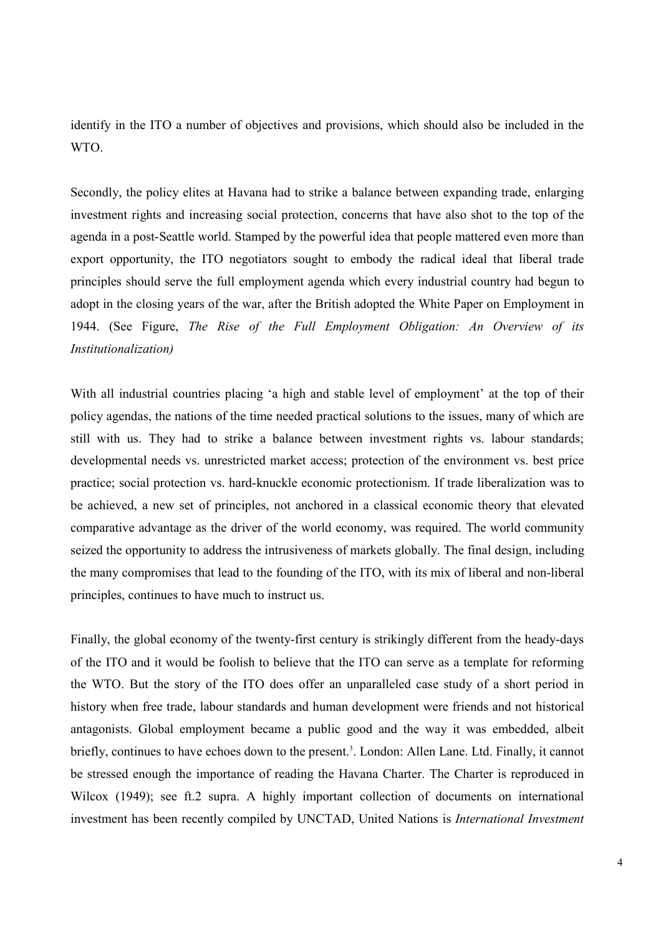identify in the ITO a number of objectives and provisions, which should also be included in the WTO.

Secondly, the policy elites at Havana had to strike a balance between expanding trade, enlarging investment rights and increasing social protection, concerns that have also shot to the top of the agenda in a post-Seattle world. Stamped by the powerful idea that people mattered even more than export opportunity, the ITO negotiators sought to embody the radical ideal that liberal trade principles should serve the full employment agenda which every industrial country had begun to adopt in the closing years of the war, after the British adopted the White Paper on Employment in 1944. (See Figure, *The Rise of the Full Employment Obligation: An Overview of its Institutionalization)*

With all industrial countries placing 'a high and stable level of employment' at the top of their policy agendas, the nations of the time needed practical solutions to the issues, many of which are still with us. They had to strike a balance between investment rights vs. labour standards; developmental needs vs. unrestricted market access; protection of the environment vs. best price practice; social protection vs. hard-knuckle economic protectionism. If trade liberalization was to be achieved, a new set of principles, not anchored in a classical economic theory that elevated comparative advantage as the driver of the world economy, was required. The world community seized the opportunity to address the intrusiveness of markets globally. The final design, including the many compromises that lead to the founding of the ITO, with its mix of liberal and non-liberal principles, continues to have much to instruct us.

Finally, the global economy of the twenty-first century is strikingly different from the heady-days of the ITO and it would be foolish to believe that the ITO can serve as a template for reforming the WTO. But the story of the ITO does offer an unparalleled case study of a short period in history when free trade, labour standards and human development were friends and not historical antagonists. Global employment became a public good and the way it was embedded, albeit briefly, continues to have echoes down to the present.<sup>3</sup>. London: Allen Lane. Ltd. Finally, it cannot be stressed enough the importance of reading the Havana Charter. The Charter is reproduced in Wilcox (1949); see ft.2 supra. A highly important collection of documents on international investment has been recently compiled by UNCTAD, United Nations is *International Investment*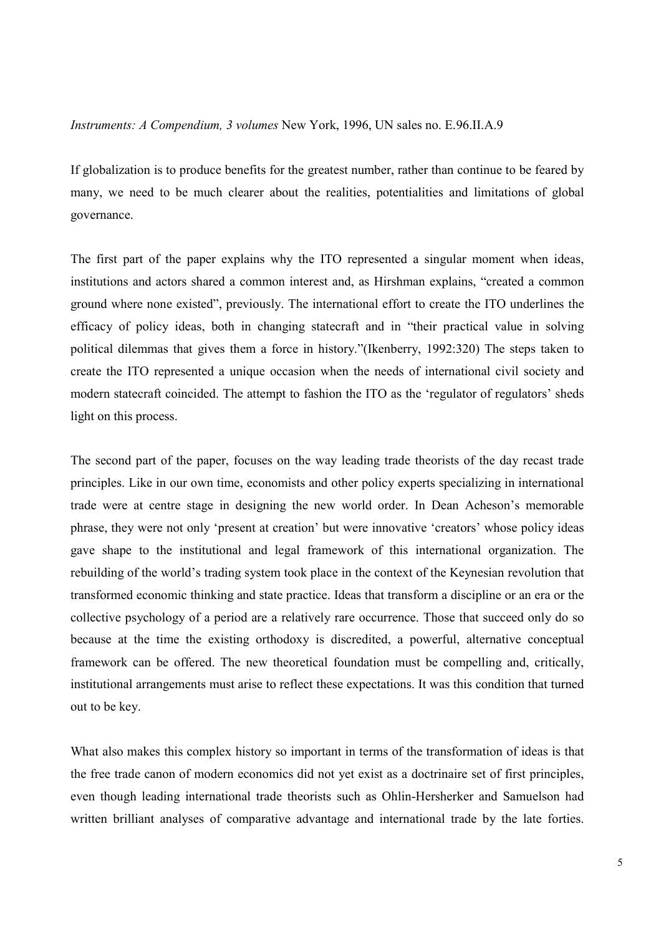### *Instruments: A Compendium, 3 volumes* New York, 1996, UN sales no. E.96.II.A.9

If globalization is to produce benefits for the greatest number, rather than continue to be feared by many, we need to be much clearer about the realities, potentialities and limitations of global governance.

The first part of the paper explains why the ITO represented a singular moment when ideas, institutions and actors shared a common interest and, as Hirshman explains, "created a common ground where none existed", previously. The international effort to create the ITO underlines the efficacy of policy ideas, both in changing statecraft and in "their practical value in solving political dilemmas that gives them a force in history."(Ikenberry, 1992:320) The steps taken to create the ITO represented a unique occasion when the needs of international civil society and modern statecraft coincided. The attempt to fashion the ITO as the 'regulator of regulators' sheds light on this process.

The second part of the paper, focuses on the way leading trade theorists of the day recast trade principles. Like in our own time, economists and other policy experts specializing in international trade were at centre stage in designing the new world order. In Dean Acheson's memorable phrase, they were not only 'present at creation' but were innovative 'creators' whose policy ideas gave shape to the institutional and legal framework of this international organization. The rebuilding of the world's trading system took place in the context of the Keynesian revolution that transformed economic thinking and state practice. Ideas that transform a discipline or an era or the collective psychology of a period are a relatively rare occurrence. Those that succeed only do so because at the time the existing orthodoxy is discredited, a powerful, alternative conceptual framework can be offered. The new theoretical foundation must be compelling and, critically, institutional arrangements must arise to reflect these expectations. It was this condition that turned out to be key.

What also makes this complex history so important in terms of the transformation of ideas is that the free trade canon of modern economics did not yet exist as a doctrinaire set of first principles, even though leading international trade theorists such as Ohlin-Hersherker and Samuelson had written brilliant analyses of comparative advantage and international trade by the late forties.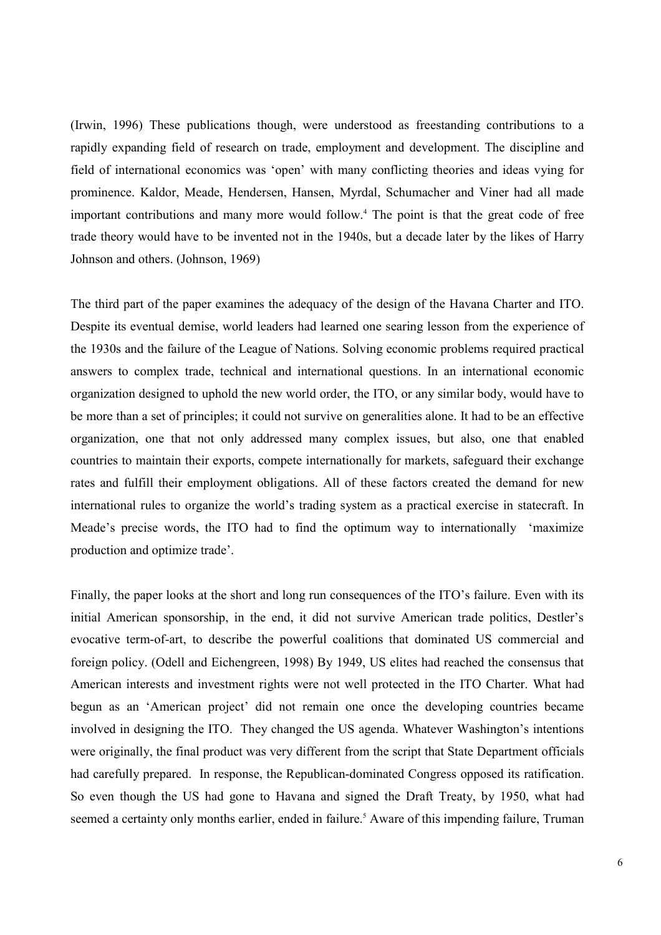(Irwin, 1996) These publications though, were understood as freestanding contributions to a rapidly expanding field of research on trade, employment and development. The discipline and field of international economics was 'open' with many conflicting theories and ideas vying for prominence. Kaldor, Meade, Hendersen, Hansen, Myrdal, Schumacher and Viner had all made important contributions and many more would follow.<sup>4</sup> The point is that the great code of free trade theory would have to be invented not in the 1940s, but a decade later by the likes of Harry Johnson and others. (Johnson, 1969)

The third part of the paper examines the adequacy of the design of the Havana Charter and ITO. Despite its eventual demise, world leaders had learned one searing lesson from the experience of the 1930s and the failure of the League of Nations. Solving economic problems required practical answers to complex trade, technical and international questions. In an international economic organization designed to uphold the new world order, the ITO, or any similar body, would have to be more than a set of principles; it could not survive on generalities alone. It had to be an effective organization, one that not only addressed many complex issues, but also, one that enabled countries to maintain their exports, compete internationally for markets, safeguard their exchange rates and fulfill their employment obligations. All of these factors created the demand for new international rules to organize the world's trading system as a practical exercise in statecraft. In Meade's precise words, the ITO had to find the optimum way to internationally 'maximize production and optimize trade'.

Finally, the paper looks at the short and long run consequences of the ITO's failure. Even with its initial American sponsorship, in the end, it did not survive American trade politics, Destler's evocative term-of-art, to describe the powerful coalitions that dominated US commercial and foreign policy. (Odell and Eichengreen, 1998) By 1949, US elites had reached the consensus that American interests and investment rights were not well protected in the ITO Charter. What had begun as an 'American project' did not remain one once the developing countries became involved in designing the ITO. They changed the US agenda. Whatever Washington's intentions were originally, the final product was very different from the script that State Department officials had carefully prepared. In response, the Republican-dominated Congress opposed its ratification. So even though the US had gone to Havana and signed the Draft Treaty, by 1950, what had seemed a certainty only months earlier, ended in failure.<sup>5</sup> Aware of this impending failure, Truman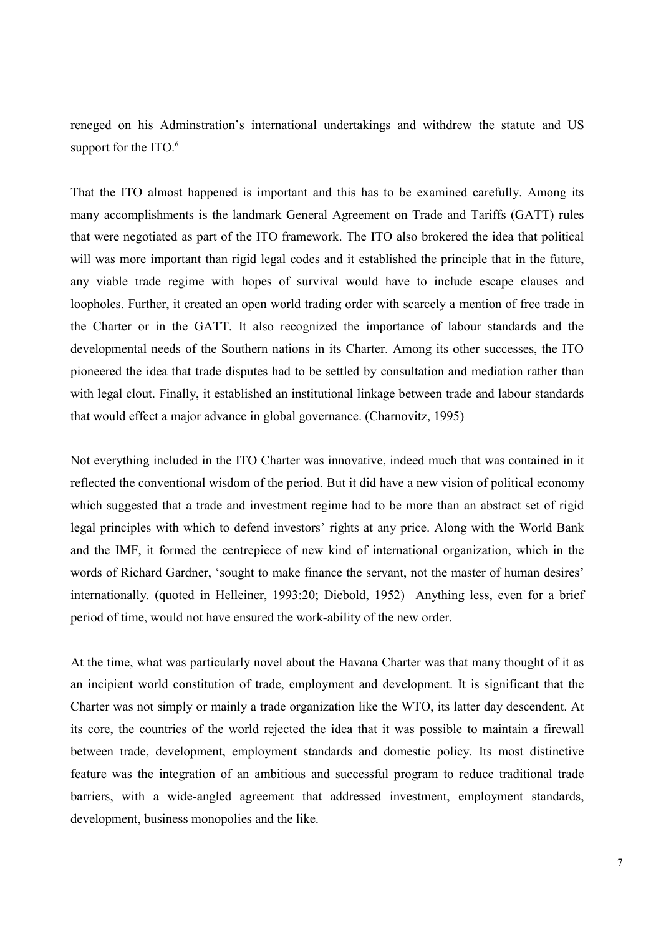reneged on his Adminstration's international undertakings and withdrew the statute and US support for the ITO.<sup>6</sup>

That the ITO almost happened is important and this has to be examined carefully. Among its many accomplishments is the landmark General Agreement on Trade and Tariffs (GATT) rules that were negotiated as part of the ITO framework. The ITO also brokered the idea that political will was more important than rigid legal codes and it established the principle that in the future, any viable trade regime with hopes of survival would have to include escape clauses and loopholes. Further, it created an open world trading order with scarcely a mention of free trade in the Charter or in the GATT. It also recognized the importance of labour standards and the developmental needs of the Southern nations in its Charter. Among its other successes, the ITO pioneered the idea that trade disputes had to be settled by consultation and mediation rather than with legal clout. Finally, it established an institutional linkage between trade and labour standards that would effect a major advance in global governance. (Charnovitz, 1995)

Not everything included in the ITO Charter was innovative, indeed much that was contained in it reflected the conventional wisdom of the period. But it did have a new vision of political economy which suggested that a trade and investment regime had to be more than an abstract set of rigid legal principles with which to defend investors' rights at any price. Along with the World Bank and the IMF, it formed the centrepiece of new kind of international organization, which in the words of Richard Gardner, 'sought to make finance the servant, not the master of human desires' internationally. (quoted in Helleiner, 1993:20; Diebold, 1952) Anything less, even for a brief period of time, would not have ensured the work-ability of the new order.

At the time, what was particularly novel about the Havana Charter was that many thought of it as an incipient world constitution of trade, employment and development. It is significant that the Charter was not simply or mainly a trade organization like the WTO, its latter day descendent. At its core, the countries of the world rejected the idea that it was possible to maintain a firewall between trade, development, employment standards and domestic policy. Its most distinctive feature was the integration of an ambitious and successful program to reduce traditional trade barriers, with a wide-angled agreement that addressed investment, employment standards, development, business monopolies and the like.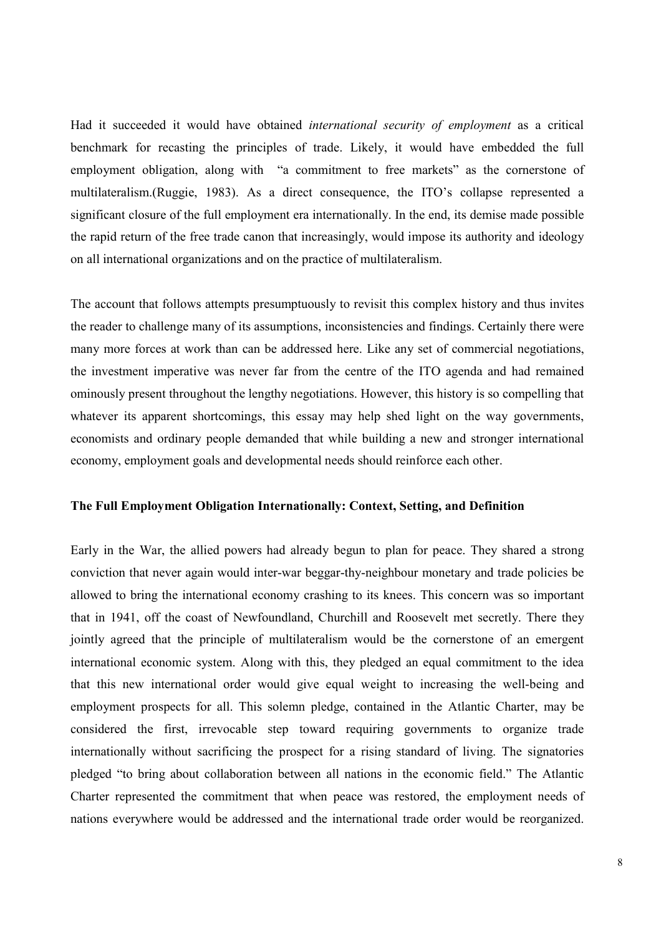Had it succeeded it would have obtained *international security of employment* as a critical benchmark for recasting the principles of trade. Likely, it would have embedded the full employment obligation, along with "a commitment to free markets" as the cornerstone of multilateralism.(Ruggie, 1983). As a direct consequence, the ITO's collapse represented a significant closure of the full employment era internationally. In the end, its demise made possible the rapid return of the free trade canon that increasingly, would impose its authority and ideology on all international organizations and on the practice of multilateralism.

The account that follows attempts presumptuously to revisit this complex history and thus invites the reader to challenge many of its assumptions, inconsistencies and findings. Certainly there were many more forces at work than can be addressed here. Like any set of commercial negotiations, the investment imperative was never far from the centre of the ITO agenda and had remained ominously present throughout the lengthy negotiations. However, this history is so compelling that whatever its apparent shortcomings, this essay may help shed light on the way governments, economists and ordinary people demanded that while building a new and stronger international economy, employment goals and developmental needs should reinforce each other.

### **The Full Employment Obligation Internationally: Context, Setting, and Definition**

Early in the War, the allied powers had already begun to plan for peace. They shared a strong conviction that never again would inter-war beggar-thy-neighbour monetary and trade policies be allowed to bring the international economy crashing to its knees. This concern was so important that in 1941, off the coast of Newfoundland, Churchill and Roosevelt met secretly. There they jointly agreed that the principle of multilateralism would be the cornerstone of an emergent international economic system. Along with this, they pledged an equal commitment to the idea that this new international order would give equal weight to increasing the well-being and employment prospects for all. This solemn pledge, contained in the Atlantic Charter, may be considered the first, irrevocable step toward requiring governments to organize trade internationally without sacrificing the prospect for a rising standard of living. The signatories pledged "to bring about collaboration between all nations in the economic field." The Atlantic Charter represented the commitment that when peace was restored, the employment needs of nations everywhere would be addressed and the international trade order would be reorganized.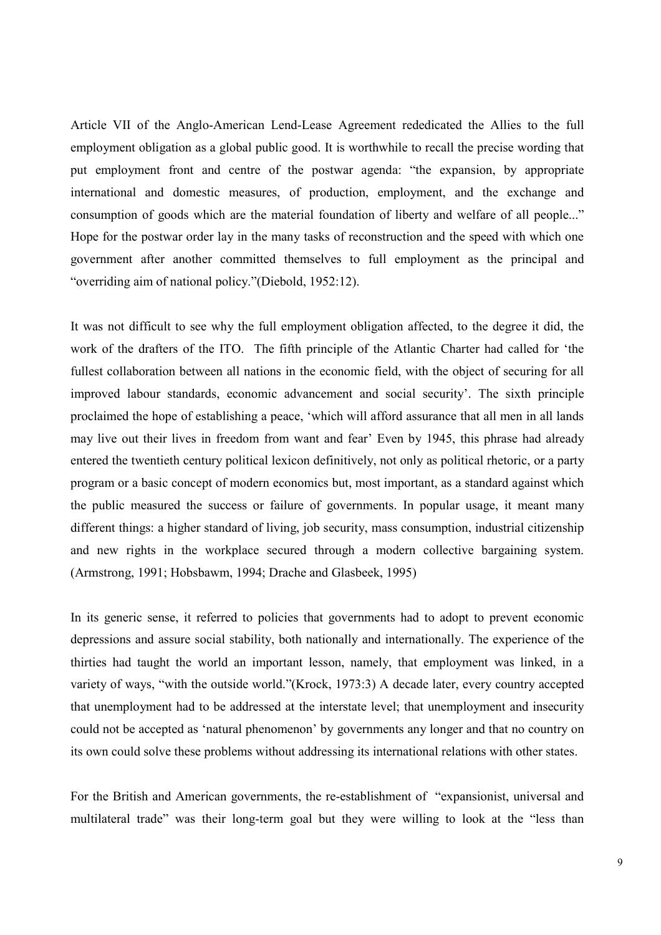Article VII of the Anglo-American Lend-Lease Agreement rededicated the Allies to the full employment obligation as a global public good. It is worthwhile to recall the precise wording that put employment front and centre of the postwar agenda: "the expansion, by appropriate international and domestic measures, of production, employment, and the exchange and consumption of goods which are the material foundation of liberty and welfare of all people..." Hope for the postwar order lay in the many tasks of reconstruction and the speed with which one government after another committed themselves to full employment as the principal and "overriding aim of national policy."(Diebold, 1952:12).

It was not difficult to see why the full employment obligation affected, to the degree it did, the work of the drafters of the ITO. The fifth principle of the Atlantic Charter had called for 'the fullest collaboration between all nations in the economic field, with the object of securing for all improved labour standards, economic advancement and social security'. The sixth principle proclaimed the hope of establishing a peace, 'which will afford assurance that all men in all lands may live out their lives in freedom from want and fear' Even by 1945, this phrase had already entered the twentieth century political lexicon definitively, not only as political rhetoric, or a party program or a basic concept of modern economics but, most important, as a standard against which the public measured the success or failure of governments. In popular usage, it meant many different things: a higher standard of living, job security, mass consumption, industrial citizenship and new rights in the workplace secured through a modern collective bargaining system. (Armstrong, 1991; Hobsbawm, 1994; Drache and Glasbeek, 1995)

In its generic sense, it referred to policies that governments had to adopt to prevent economic depressions and assure social stability, both nationally and internationally. The experience of the thirties had taught the world an important lesson, namely, that employment was linked, in a variety of ways, "with the outside world."(Krock, 1973:3) A decade later, every country accepted that unemployment had to be addressed at the interstate level; that unemployment and insecurity could not be accepted as 'natural phenomenon' by governments any longer and that no country on its own could solve these problems without addressing its international relations with other states.

For the British and American governments, the re-establishment of "expansionist, universal and multilateral trade" was their long-term goal but they were willing to look at the "less than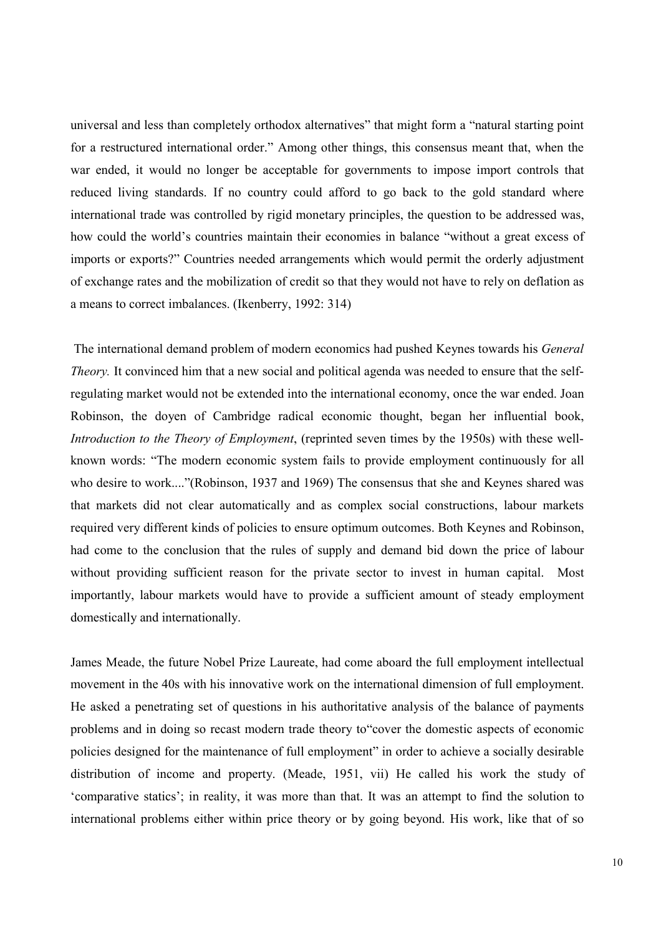universal and less than completely orthodox alternatives" that might form a "natural starting point for a restructured international order." Among other things, this consensus meant that, when the war ended, it would no longer be acceptable for governments to impose import controls that reduced living standards. If no country could afford to go back to the gold standard where international trade was controlled by rigid monetary principles, the question to be addressed was, how could the world's countries maintain their economies in balance "without a great excess of imports or exports?" Countries needed arrangements which would permit the orderly adjustment of exchange rates and the mobilization of credit so that they would not have to rely on deflation as a means to correct imbalances. (Ikenberry, 1992: 314)

 The international demand problem of modern economics had pushed Keynes towards his *General Theory.* It convinced him that a new social and political agenda was needed to ensure that the selfregulating market would not be extended into the international economy, once the war ended. Joan Robinson, the doyen of Cambridge radical economic thought, began her influential book, *Introduction to the Theory of Employment*, (reprinted seven times by the 1950s) with these wellknown words: "The modern economic system fails to provide employment continuously for all who desire to work...."(Robinson, 1937 and 1969) The consensus that she and Keynes shared was that markets did not clear automatically and as complex social constructions, labour markets required very different kinds of policies to ensure optimum outcomes. Both Keynes and Robinson, had come to the conclusion that the rules of supply and demand bid down the price of labour without providing sufficient reason for the private sector to invest in human capital. Most importantly, labour markets would have to provide a sufficient amount of steady employment domestically and internationally.

James Meade, the future Nobel Prize Laureate, had come aboard the full employment intellectual movement in the 40s with his innovative work on the international dimension of full employment. He asked a penetrating set of questions in his authoritative analysis of the balance of payments problems and in doing so recast modern trade theory to"cover the domestic aspects of economic policies designed for the maintenance of full employment" in order to achieve a socially desirable distribution of income and property. (Meade, 1951, vii) He called his work the study of 'comparative statics'; in reality, it was more than that. It was an attempt to find the solution to international problems either within price theory or by going beyond. His work, like that of so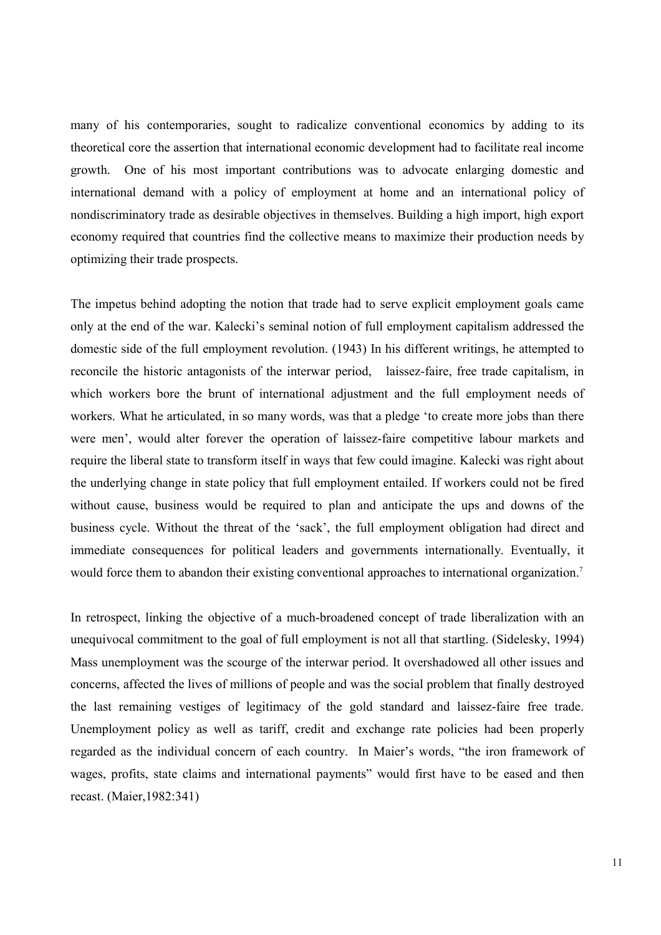many of his contemporaries, sought to radicalize conventional economics by adding to its theoretical core the assertion that international economic development had to facilitate real income growth. One of his most important contributions was to advocate enlarging domestic and international demand with a policy of employment at home and an international policy of nondiscriminatory trade as desirable objectives in themselves. Building a high import, high export economy required that countries find the collective means to maximize their production needs by optimizing their trade prospects.

The impetus behind adopting the notion that trade had to serve explicit employment goals came only at the end of the war. Kalecki's seminal notion of full employment capitalism addressed the domestic side of the full employment revolution. (1943) In his different writings, he attempted to reconcile the historic antagonists of the interwar period, laissez-faire, free trade capitalism, in which workers bore the brunt of international adjustment and the full employment needs of workers. What he articulated, in so many words, was that a pledge 'to create more jobs than there were men', would alter forever the operation of laissez-faire competitive labour markets and require the liberal state to transform itself in ways that few could imagine. Kalecki was right about the underlying change in state policy that full employment entailed. If workers could not be fired without cause, business would be required to plan and anticipate the ups and downs of the business cycle. Without the threat of the 'sack', the full employment obligation had direct and immediate consequences for political leaders and governments internationally. Eventually, it would force them to abandon their existing conventional approaches to international organization.<sup>7</sup>

In retrospect, linking the objective of a much-broadened concept of trade liberalization with an unequivocal commitment to the goal of full employment is not all that startling. (Sidelesky, 1994) Mass unemployment was the scourge of the interwar period. It overshadowed all other issues and concerns, affected the lives of millions of people and was the social problem that finally destroyed the last remaining vestiges of legitimacy of the gold standard and laissez-faire free trade. Unemployment policy as well as tariff, credit and exchange rate policies had been properly regarded as the individual concern of each country. In Maier's words, "the iron framework of wages, profits, state claims and international payments" would first have to be eased and then recast. (Maier,1982:341)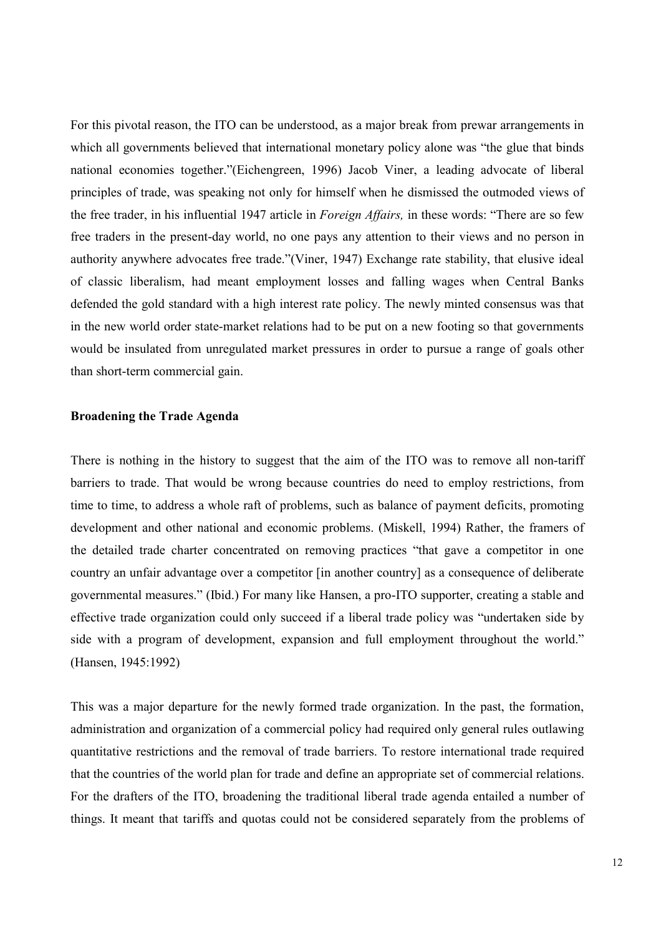For this pivotal reason, the ITO can be understood, as a major break from prewar arrangements in which all governments believed that international monetary policy alone was "the glue that binds national economies together."(Eichengreen, 1996) Jacob Viner, a leading advocate of liberal principles of trade, was speaking not only for himself when he dismissed the outmoded views of the free trader, in his influential 1947 article in *Foreign Affairs,* in these words: "There are so few free traders in the present-day world, no one pays any attention to their views and no person in authority anywhere advocates free trade."(Viner, 1947) Exchange rate stability, that elusive ideal of classic liberalism, had meant employment losses and falling wages when Central Banks defended the gold standard with a high interest rate policy. The newly minted consensus was that in the new world order state-market relations had to be put on a new footing so that governments would be insulated from unregulated market pressures in order to pursue a range of goals other than short-term commercial gain.

### **Broadening the Trade Agenda**

There is nothing in the history to suggest that the aim of the ITO was to remove all non-tariff barriers to trade. That would be wrong because countries do need to employ restrictions, from time to time, to address a whole raft of problems, such as balance of payment deficits, promoting development and other national and economic problems. (Miskell, 1994) Rather, the framers of the detailed trade charter concentrated on removing practices "that gave a competitor in one country an unfair advantage over a competitor [in another country] as a consequence of deliberate governmental measures." (Ibid.) For many like Hansen, a pro-ITO supporter, creating a stable and effective trade organization could only succeed if a liberal trade policy was "undertaken side by side with a program of development, expansion and full employment throughout the world." (Hansen, 1945:1992)

This was a major departure for the newly formed trade organization. In the past, the formation, administration and organization of a commercial policy had required only general rules outlawing quantitative restrictions and the removal of trade barriers. To restore international trade required that the countries of the world plan for trade and define an appropriate set of commercial relations. For the drafters of the ITO, broadening the traditional liberal trade agenda entailed a number of things. It meant that tariffs and quotas could not be considered separately from the problems of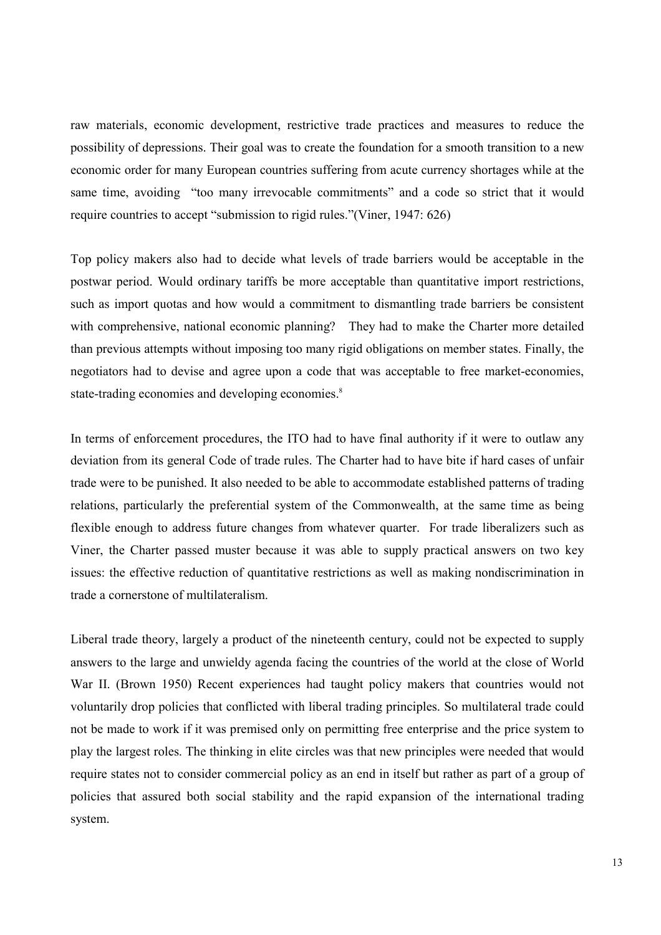raw materials, economic development, restrictive trade practices and measures to reduce the possibility of depressions. Their goal was to create the foundation for a smooth transition to a new economic order for many European countries suffering from acute currency shortages while at the same time, avoiding "too many irrevocable commitments" and a code so strict that it would require countries to accept "submission to rigid rules."(Viner, 1947: 626)

Top policy makers also had to decide what levels of trade barriers would be acceptable in the postwar period. Would ordinary tariffs be more acceptable than quantitative import restrictions, such as import quotas and how would a commitment to dismantling trade barriers be consistent with comprehensive, national economic planning? They had to make the Charter more detailed than previous attempts without imposing too many rigid obligations on member states. Finally, the negotiators had to devise and agree upon a code that was acceptable to free market-economies, state-trading economies and developing economies.<sup>8</sup>

In terms of enforcement procedures, the ITO had to have final authority if it were to outlaw any deviation from its general Code of trade rules. The Charter had to have bite if hard cases of unfair trade were to be punished. It also needed to be able to accommodate established patterns of trading relations, particularly the preferential system of the Commonwealth, at the same time as being flexible enough to address future changes from whatever quarter. For trade liberalizers such as Viner, the Charter passed muster because it was able to supply practical answers on two key issues: the effective reduction of quantitative restrictions as well as making nondiscrimination in trade a cornerstone of multilateralism.

Liberal trade theory, largely a product of the nineteenth century, could not be expected to supply answers to the large and unwieldy agenda facing the countries of the world at the close of World War II. (Brown 1950) Recent experiences had taught policy makers that countries would not voluntarily drop policies that conflicted with liberal trading principles. So multilateral trade could not be made to work if it was premised only on permitting free enterprise and the price system to play the largest roles. The thinking in elite circles was that new principles were needed that would require states not to consider commercial policy as an end in itself but rather as part of a group of policies that assured both social stability and the rapid expansion of the international trading system.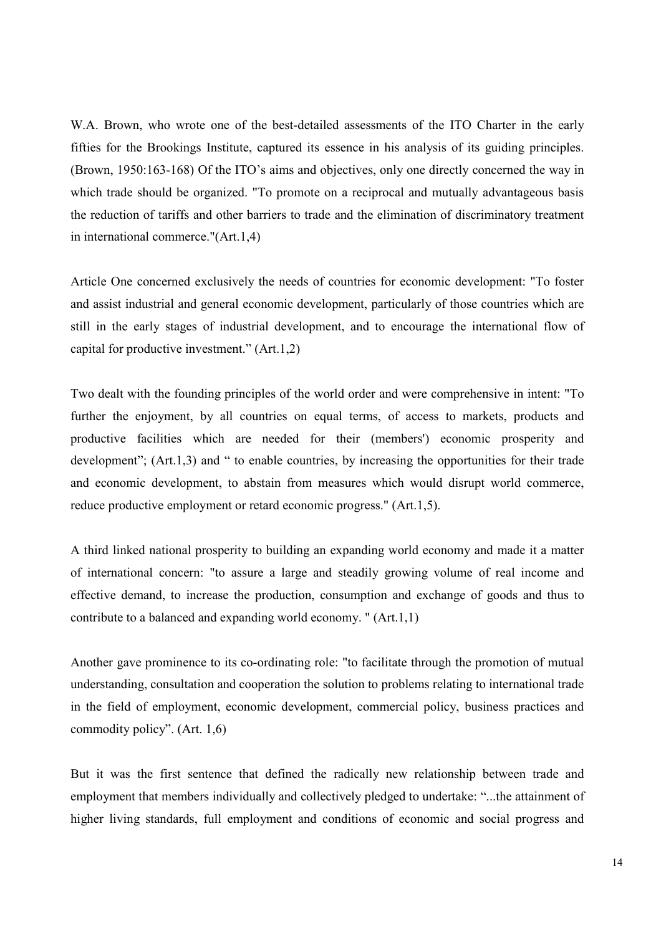W.A. Brown, who wrote one of the best-detailed assessments of the ITO Charter in the early fifties for the Brookings Institute, captured its essence in his analysis of its guiding principles. (Brown, 1950:163-168) Of the ITO's aims and objectives, only one directly concerned the way in which trade should be organized. "To promote on a reciprocal and mutually advantageous basis the reduction of tariffs and other barriers to trade and the elimination of discriminatory treatment in international commerce."(Art.1,4)

Article One concerned exclusively the needs of countries for economic development: "To foster and assist industrial and general economic development, particularly of those countries which are still in the early stages of industrial development, and to encourage the international flow of capital for productive investment." (Art.1,2)

Two dealt with the founding principles of the world order and were comprehensive in intent: "To further the enjoyment, by all countries on equal terms, of access to markets, products and productive facilities which are needed for their (members') economic prosperity and development": (Art.1.3) and " to enable countries, by increasing the opportunities for their trade and economic development, to abstain from measures which would disrupt world commerce, reduce productive employment or retard economic progress." (Art.1,5).

A third linked national prosperity to building an expanding world economy and made it a matter of international concern: "to assure a large and steadily growing volume of real income and effective demand, to increase the production, consumption and exchange of goods and thus to contribute to a balanced and expanding world economy. " (Art.1,1)

Another gave prominence to its co-ordinating role: "to facilitate through the promotion of mutual understanding, consultation and cooperation the solution to problems relating to international trade in the field of employment, economic development, commercial policy, business practices and commodity policy". (Art. 1,6)

But it was the first sentence that defined the radically new relationship between trade and employment that members individually and collectively pledged to undertake: "...the attainment of higher living standards, full employment and conditions of economic and social progress and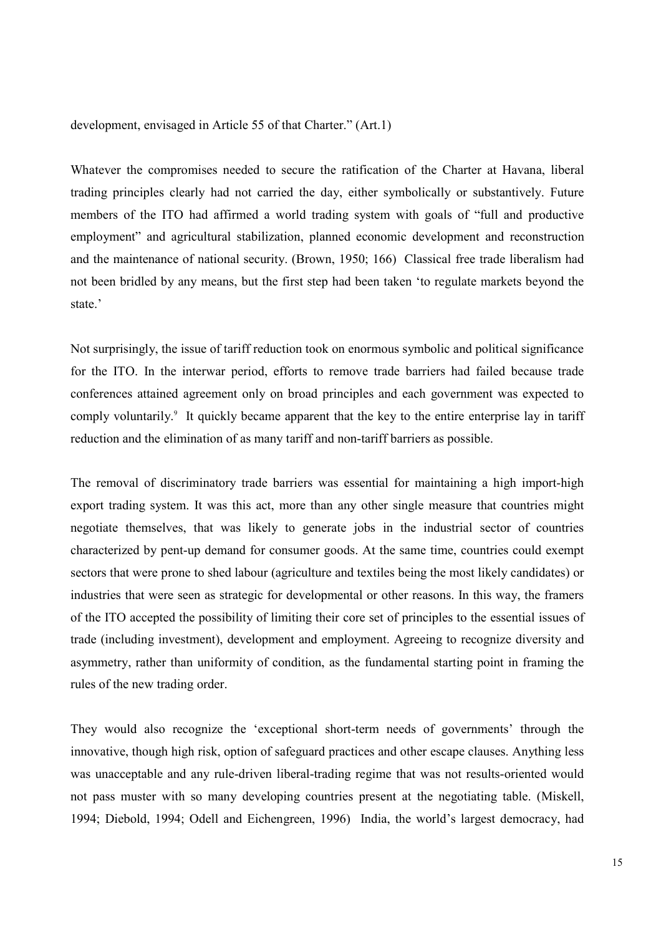development, envisaged in Article 55 of that Charter." (Art.1)

Whatever the compromises needed to secure the ratification of the Charter at Havana, liberal trading principles clearly had not carried the day, either symbolically or substantively. Future members of the ITO had affirmed a world trading system with goals of "full and productive employment" and agricultural stabilization, planned economic development and reconstruction and the maintenance of national security. (Brown, 1950; 166) Classical free trade liberalism had not been bridled by any means, but the first step had been taken 'to regulate markets beyond the state<sup>'</sup>

Not surprisingly, the issue of tariff reduction took on enormous symbolic and political significance for the ITO. In the interwar period, efforts to remove trade barriers had failed because trade conferences attained agreement only on broad principles and each government was expected to comply voluntarily.<sup>9</sup> It quickly became apparent that the key to the entire enterprise lay in tariff reduction and the elimination of as many tariff and non-tariff barriers as possible.

The removal of discriminatory trade barriers was essential for maintaining a high import-high export trading system. It was this act, more than any other single measure that countries might negotiate themselves, that was likely to generate jobs in the industrial sector of countries characterized by pent-up demand for consumer goods. At the same time, countries could exempt sectors that were prone to shed labour (agriculture and textiles being the most likely candidates) or industries that were seen as strategic for developmental or other reasons. In this way, the framers of the ITO accepted the possibility of limiting their core set of principles to the essential issues of trade (including investment), development and employment. Agreeing to recognize diversity and asymmetry, rather than uniformity of condition, as the fundamental starting point in framing the rules of the new trading order.

They would also recognize the 'exceptional short-term needs of governments' through the innovative, though high risk, option of safeguard practices and other escape clauses. Anything less was unacceptable and any rule-driven liberal-trading regime that was not results-oriented would not pass muster with so many developing countries present at the negotiating table. (Miskell, 1994; Diebold, 1994; Odell and Eichengreen, 1996) India, the world's largest democracy, had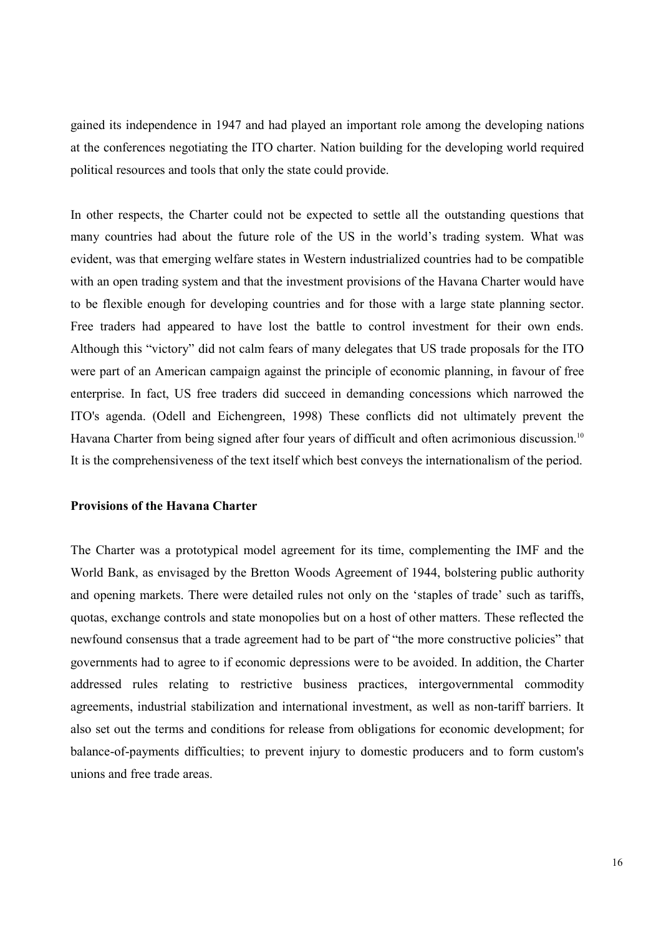gained its independence in 1947 and had played an important role among the developing nations at the conferences negotiating the ITO charter. Nation building for the developing world required political resources and tools that only the state could provide.

In other respects, the Charter could not be expected to settle all the outstanding questions that many countries had about the future role of the US in the world's trading system. What was evident, was that emerging welfare states in Western industrialized countries had to be compatible with an open trading system and that the investment provisions of the Havana Charter would have to be flexible enough for developing countries and for those with a large state planning sector. Free traders had appeared to have lost the battle to control investment for their own ends. Although this "victory" did not calm fears of many delegates that US trade proposals for the ITO were part of an American campaign against the principle of economic planning, in favour of free enterprise. In fact, US free traders did succeed in demanding concessions which narrowed the ITO's agenda. (Odell and Eichengreen, 1998) These conflicts did not ultimately prevent the Havana Charter from being signed after four years of difficult and often acrimonious discussion.<sup>10</sup> It is the comprehensiveness of the text itself which best conveys the internationalism of the period.

### **Provisions of the Havana Charter**

The Charter was a prototypical model agreement for its time, complementing the IMF and the World Bank, as envisaged by the Bretton Woods Agreement of 1944, bolstering public authority and opening markets. There were detailed rules not only on the 'staples of trade' such as tariffs, quotas, exchange controls and state monopolies but on a host of other matters. These reflected the newfound consensus that a trade agreement had to be part of "the more constructive policies" that governments had to agree to if economic depressions were to be avoided. In addition, the Charter addressed rules relating to restrictive business practices, intergovernmental commodity agreements, industrial stabilization and international investment, as well as non-tariff barriers. It also set out the terms and conditions for release from obligations for economic development; for balance-of-payments difficulties; to prevent injury to domestic producers and to form custom's unions and free trade areas.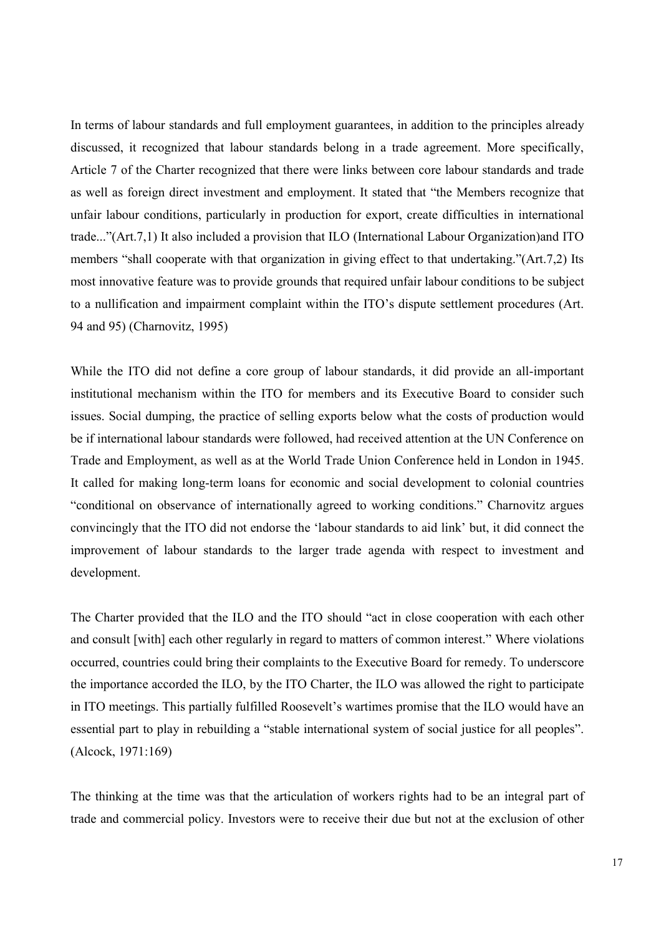In terms of labour standards and full employment guarantees, in addition to the principles already discussed, it recognized that labour standards belong in a trade agreement. More specifically, Article 7 of the Charter recognized that there were links between core labour standards and trade as well as foreign direct investment and employment. It stated that "the Members recognize that unfair labour conditions, particularly in production for export, create difficulties in international trade..."(Art.7,1) It also included a provision that ILO (International Labour Organization)and ITO members "shall cooperate with that organization in giving effect to that undertaking."(Art.7,2) Its most innovative feature was to provide grounds that required unfair labour conditions to be subject to a nullification and impairment complaint within the ITO's dispute settlement procedures (Art. 94 and 95) (Charnovitz, 1995)

While the ITO did not define a core group of labour standards, it did provide an all-important institutional mechanism within the ITO for members and its Executive Board to consider such issues. Social dumping, the practice of selling exports below what the costs of production would be if international labour standards were followed, had received attention at the UN Conference on Trade and Employment, as well as at the World Trade Union Conference held in London in 1945. It called for making long-term loans for economic and social development to colonial countries "conditional on observance of internationally agreed to working conditions." Charnovitz argues convincingly that the ITO did not endorse the 'labour standards to aid link' but, it did connect the improvement of labour standards to the larger trade agenda with respect to investment and development.

The Charter provided that the ILO and the ITO should "act in close cooperation with each other and consult [with] each other regularly in regard to matters of common interest." Where violations occurred, countries could bring their complaints to the Executive Board for remedy. To underscore the importance accorded the ILO, by the ITO Charter, the ILO was allowed the right to participate in ITO meetings. This partially fulfilled Roosevelt's wartimes promise that the ILO would have an essential part to play in rebuilding a "stable international system of social justice for all peoples". (Alcock, 1971:169)

The thinking at the time was that the articulation of workers rights had to be an integral part of trade and commercial policy. Investors were to receive their due but not at the exclusion of other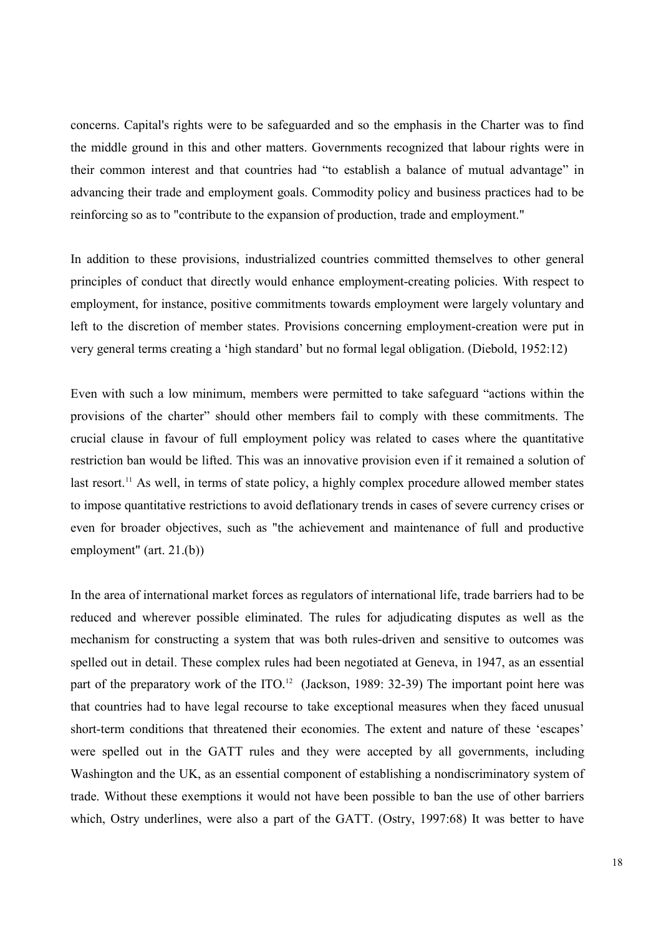concerns. Capital's rights were to be safeguarded and so the emphasis in the Charter was to find the middle ground in this and other matters. Governments recognized that labour rights were in their common interest and that countries had "to establish a balance of mutual advantage" in advancing their trade and employment goals. Commodity policy and business practices had to be reinforcing so as to "contribute to the expansion of production, trade and employment."

In addition to these provisions, industrialized countries committed themselves to other general principles of conduct that directly would enhance employment-creating policies. With respect to employment, for instance, positive commitments towards employment were largely voluntary and left to the discretion of member states. Provisions concerning employment-creation were put in very general terms creating a 'high standard' but no formal legal obligation. (Diebold, 1952:12)

Even with such a low minimum, members were permitted to take safeguard "actions within the provisions of the charter" should other members fail to comply with these commitments. The crucial clause in favour of full employment policy was related to cases where the quantitative restriction ban would be lifted. This was an innovative provision even if it remained a solution of last resort.<sup>11</sup> As well, in terms of state policy, a highly complex procedure allowed member states to impose quantitative restrictions to avoid deflationary trends in cases of severe currency crises or even for broader objectives, such as "the achievement and maintenance of full and productive employment" (art. 21.(b))

In the area of international market forces as regulators of international life, trade barriers had to be reduced and wherever possible eliminated. The rules for adjudicating disputes as well as the mechanism for constructing a system that was both rules-driven and sensitive to outcomes was spelled out in detail. These complex rules had been negotiated at Geneva, in 1947, as an essential part of the preparatory work of the ITO.<sup>12</sup> (Jackson, 1989: 32-39) The important point here was that countries had to have legal recourse to take exceptional measures when they faced unusual short-term conditions that threatened their economies. The extent and nature of these 'escapes' were spelled out in the GATT rules and they were accepted by all governments, including Washington and the UK, as an essential component of establishing a nondiscriminatory system of trade. Without these exemptions it would not have been possible to ban the use of other barriers which, Ostry underlines, were also a part of the GATT. (Ostry, 1997:68) It was better to have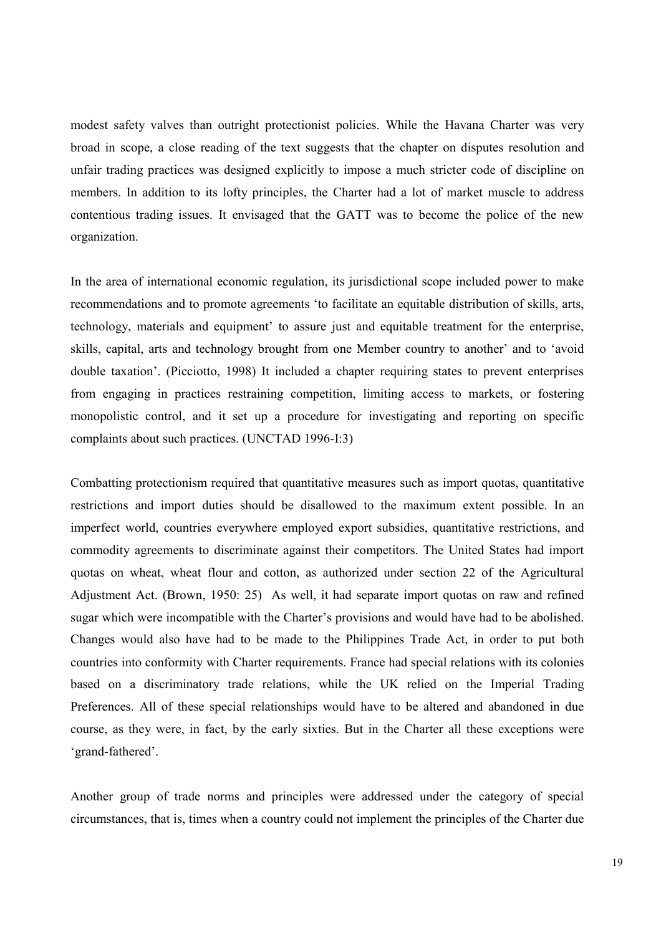modest safety valves than outright protectionist policies. While the Havana Charter was very broad in scope, a close reading of the text suggests that the chapter on disputes resolution and unfair trading practices was designed explicitly to impose a much stricter code of discipline on members. In addition to its lofty principles, the Charter had a lot of market muscle to address contentious trading issues. It envisaged that the GATT was to become the police of the new organization.

In the area of international economic regulation, its jurisdictional scope included power to make recommendations and to promote agreements 'to facilitate an equitable distribution of skills, arts, technology, materials and equipment' to assure just and equitable treatment for the enterprise, skills, capital, arts and technology brought from one Member country to another' and to 'avoid double taxation'. (Picciotto, 1998) It included a chapter requiring states to prevent enterprises from engaging in practices restraining competition, limiting access to markets, or fostering monopolistic control, and it set up a procedure for investigating and reporting on specific complaints about such practices. (UNCTAD 1996-I:3)

Combatting protectionism required that quantitative measures such as import quotas, quantitative restrictions and import duties should be disallowed to the maximum extent possible. In an imperfect world, countries everywhere employed export subsidies, quantitative restrictions, and commodity agreements to discriminate against their competitors. The United States had import quotas on wheat, wheat flour and cotton, as authorized under section 22 of the Agricultural Adjustment Act. (Brown, 1950: 25) As well, it had separate import quotas on raw and refined sugar which were incompatible with the Charter's provisions and would have had to be abolished. Changes would also have had to be made to the Philippines Trade Act, in order to put both countries into conformity with Charter requirements. France had special relations with its colonies based on a discriminatory trade relations, while the UK relied on the Imperial Trading Preferences. All of these special relationships would have to be altered and abandoned in due course, as they were, in fact, by the early sixties. But in the Charter all these exceptions were 'grand-fathered'.

Another group of trade norms and principles were addressed under the category of special circumstances, that is, times when a country could not implement the principles of the Charter due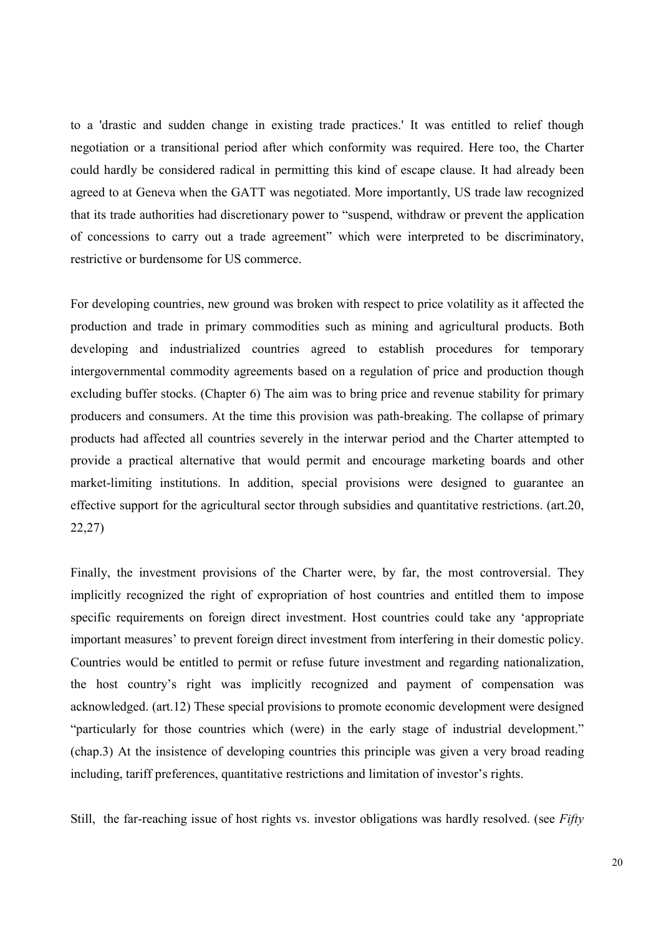to a 'drastic and sudden change in existing trade practices.' It was entitled to relief though negotiation or a transitional period after which conformity was required. Here too, the Charter could hardly be considered radical in permitting this kind of escape clause. It had already been agreed to at Geneva when the GATT was negotiated. More importantly, US trade law recognized that its trade authorities had discretionary power to "suspend, withdraw or prevent the application of concessions to carry out a trade agreement" which were interpreted to be discriminatory, restrictive or burdensome for US commerce.

For developing countries, new ground was broken with respect to price volatility as it affected the production and trade in primary commodities such as mining and agricultural products. Both developing and industrialized countries agreed to establish procedures for temporary intergovernmental commodity agreements based on a regulation of price and production though excluding buffer stocks. (Chapter 6) The aim was to bring price and revenue stability for primary producers and consumers. At the time this provision was path-breaking. The collapse of primary products had affected all countries severely in the interwar period and the Charter attempted to provide a practical alternative that would permit and encourage marketing boards and other market-limiting institutions. In addition, special provisions were designed to guarantee an effective support for the agricultural sector through subsidies and quantitative restrictions. (art.20, 22,27)

Finally, the investment provisions of the Charter were, by far, the most controversial. They implicitly recognized the right of expropriation of host countries and entitled them to impose specific requirements on foreign direct investment. Host countries could take any 'appropriate important measures' to prevent foreign direct investment from interfering in their domestic policy. Countries would be entitled to permit or refuse future investment and regarding nationalization, the host country's right was implicitly recognized and payment of compensation was acknowledged. (art.12) These special provisions to promote economic development were designed "particularly for those countries which (were) in the early stage of industrial development." (chap.3) At the insistence of developing countries this principle was given a very broad reading including, tariff preferences, quantitative restrictions and limitation of investor's rights.

Still, the far-reaching issue of host rights vs. investor obligations was hardly resolved. (see *Fifty*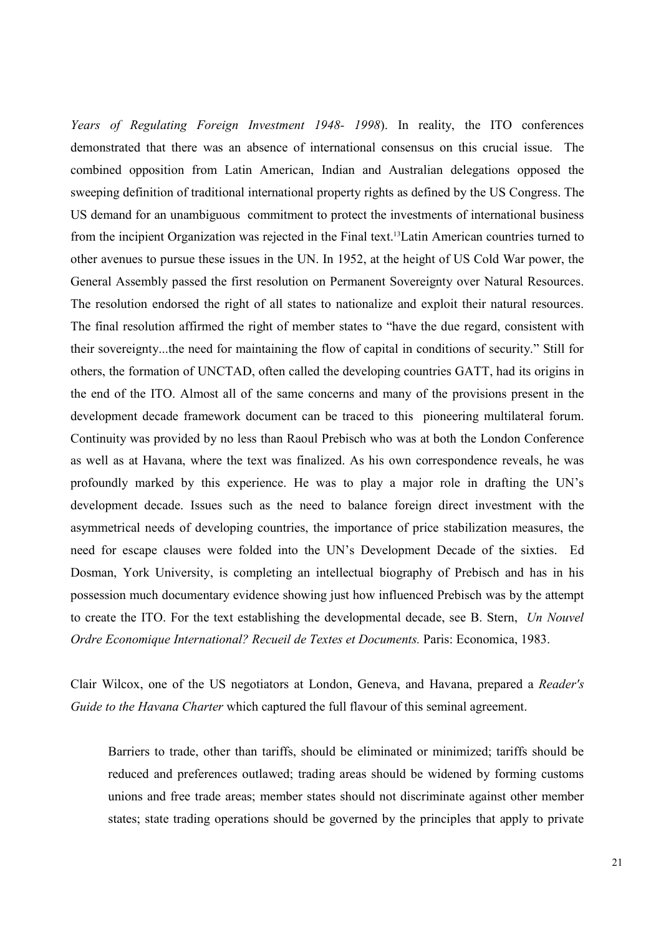*Years of Regulating Foreign Investment 1948- 1998*). In reality, the ITO conferences demonstrated that there was an absence of international consensus on this crucial issue. The combined opposition from Latin American, Indian and Australian delegations opposed the sweeping definition of traditional international property rights as defined by the US Congress. The US demand for an unambiguous commitment to protect the investments of international business from the incipient Organization was rejected in the Final text.13Latin American countries turned to other avenues to pursue these issues in the UN. In 1952, at the height of US Cold War power, the General Assembly passed the first resolution on Permanent Sovereignty over Natural Resources. The resolution endorsed the right of all states to nationalize and exploit their natural resources. The final resolution affirmed the right of member states to "have the due regard, consistent with their sovereignty...the need for maintaining the flow of capital in conditions of security." Still for others, the formation of UNCTAD, often called the developing countries GATT, had its origins in the end of the ITO. Almost all of the same concerns and many of the provisions present in the development decade framework document can be traced to this pioneering multilateral forum. Continuity was provided by no less than Raoul Prebisch who was at both the London Conference as well as at Havana, where the text was finalized. As his own correspondence reveals, he was profoundly marked by this experience. He was to play a major role in drafting the UN's development decade. Issues such as the need to balance foreign direct investment with the asymmetrical needs of developing countries, the importance of price stabilization measures, the need for escape clauses were folded into the UN's Development Decade of the sixties. Ed Dosman, York University, is completing an intellectual biography of Prebisch and has in his possession much documentary evidence showing just how influenced Prebisch was by the attempt to create the ITO. For the text establishing the developmental decade, see B. Stern, *Un Nouvel Ordre Economique International? Recueil de Textes et Documents.* Paris: Economica, 1983.

Clair Wilcox, one of the US negotiators at London, Geneva, and Havana, prepared a *Reader's Guide to the Havana Charter* which captured the full flavour of this seminal agreement.

Barriers to trade, other than tariffs, should be eliminated or minimized; tariffs should be reduced and preferences outlawed; trading areas should be widened by forming customs unions and free trade areas; member states should not discriminate against other member states; state trading operations should be governed by the principles that apply to private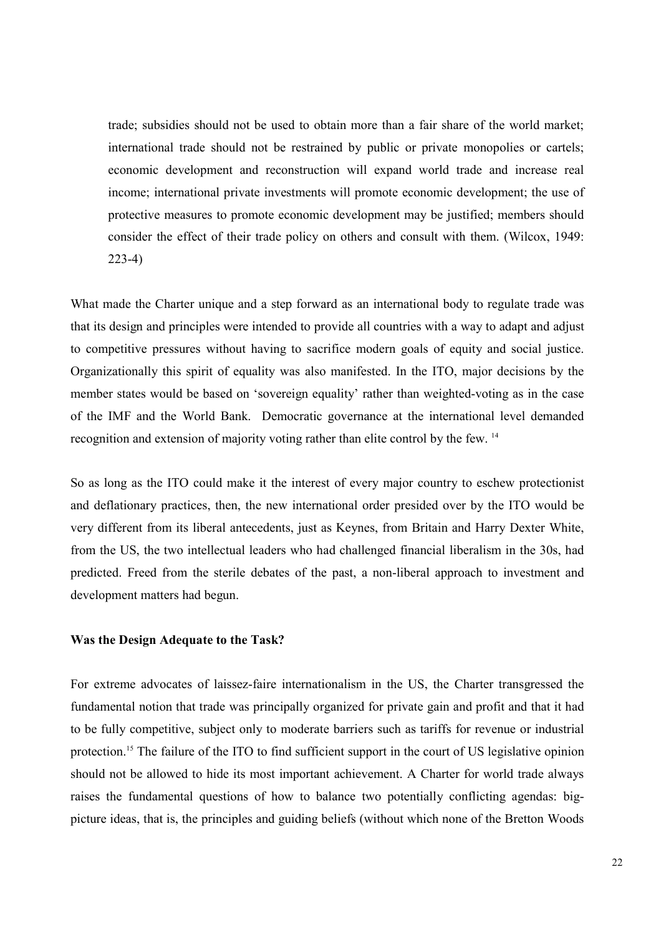trade; subsidies should not be used to obtain more than a fair share of the world market; international trade should not be restrained by public or private monopolies or cartels; economic development and reconstruction will expand world trade and increase real income; international private investments will promote economic development; the use of protective measures to promote economic development may be justified; members should consider the effect of their trade policy on others and consult with them. (Wilcox, 1949: 223-4)

What made the Charter unique and a step forward as an international body to regulate trade was that its design and principles were intended to provide all countries with a way to adapt and adjust to competitive pressures without having to sacrifice modern goals of equity and social justice. Organizationally this spirit of equality was also manifested. In the ITO, major decisions by the member states would be based on 'sovereign equality' rather than weighted-voting as in the case of the IMF and the World Bank. Democratic governance at the international level demanded recognition and extension of majority voting rather than elite control by the few. 14

So as long as the ITO could make it the interest of every major country to eschew protectionist and deflationary practices, then, the new international order presided over by the ITO would be very different from its liberal antecedents, just as Keynes, from Britain and Harry Dexter White, from the US, the two intellectual leaders who had challenged financial liberalism in the 30s, had predicted. Freed from the sterile debates of the past, a non-liberal approach to investment and development matters had begun.

### **Was the Design Adequate to the Task?**

For extreme advocates of laissez-faire internationalism in the US, the Charter transgressed the fundamental notion that trade was principally organized for private gain and profit and that it had to be fully competitive, subject only to moderate barriers such as tariffs for revenue or industrial protection.<sup>15</sup> The failure of the ITO to find sufficient support in the court of US legislative opinion should not be allowed to hide its most important achievement. A Charter for world trade always raises the fundamental questions of how to balance two potentially conflicting agendas: bigpicture ideas, that is, the principles and guiding beliefs (without which none of the Bretton Woods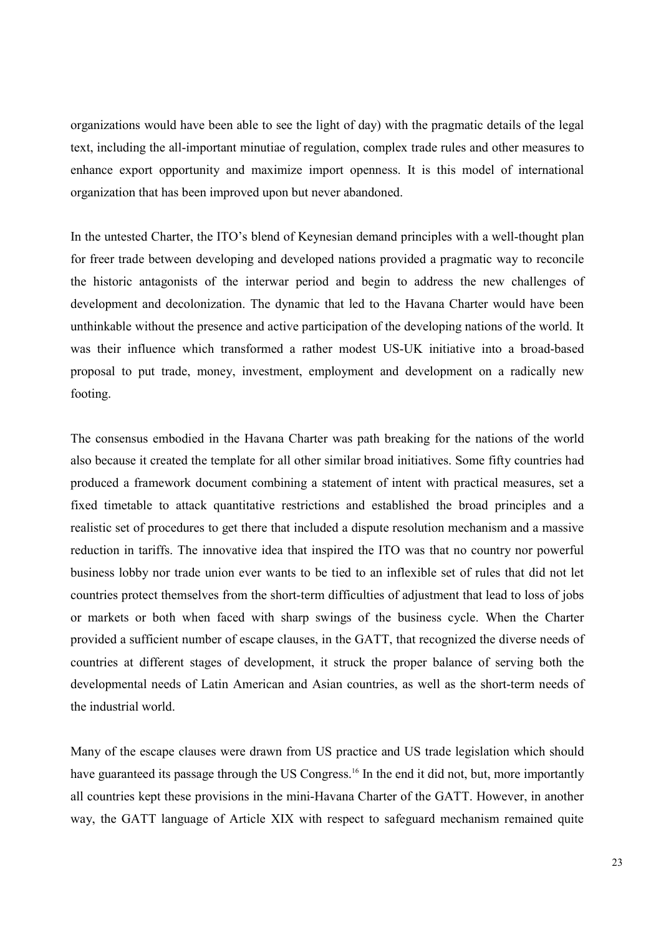organizations would have been able to see the light of day) with the pragmatic details of the legal text, including the all-important minutiae of regulation, complex trade rules and other measures to enhance export opportunity and maximize import openness. It is this model of international organization that has been improved upon but never abandoned.

In the untested Charter, the ITO's blend of Keynesian demand principles with a well-thought plan for freer trade between developing and developed nations provided a pragmatic way to reconcile the historic antagonists of the interwar period and begin to address the new challenges of development and decolonization. The dynamic that led to the Havana Charter would have been unthinkable without the presence and active participation of the developing nations of the world. It was their influence which transformed a rather modest US-UK initiative into a broad-based proposal to put trade, money, investment, employment and development on a radically new footing.

The consensus embodied in the Havana Charter was path breaking for the nations of the world also because it created the template for all other similar broad initiatives. Some fifty countries had produced a framework document combining a statement of intent with practical measures, set a fixed timetable to attack quantitative restrictions and established the broad principles and a realistic set of procedures to get there that included a dispute resolution mechanism and a massive reduction in tariffs. The innovative idea that inspired the ITO was that no country nor powerful business lobby nor trade union ever wants to be tied to an inflexible set of rules that did not let countries protect themselves from the short-term difficulties of adjustment that lead to loss of jobs or markets or both when faced with sharp swings of the business cycle. When the Charter provided a sufficient number of escape clauses, in the GATT, that recognized the diverse needs of countries at different stages of development, it struck the proper balance of serving both the developmental needs of Latin American and Asian countries, as well as the short-term needs of the industrial world.

Many of the escape clauses were drawn from US practice and US trade legislation which should have guaranteed its passage through the US Congress.<sup>16</sup> In the end it did not, but, more importantly all countries kept these provisions in the mini-Havana Charter of the GATT. However, in another way, the GATT language of Article XIX with respect to safeguard mechanism remained quite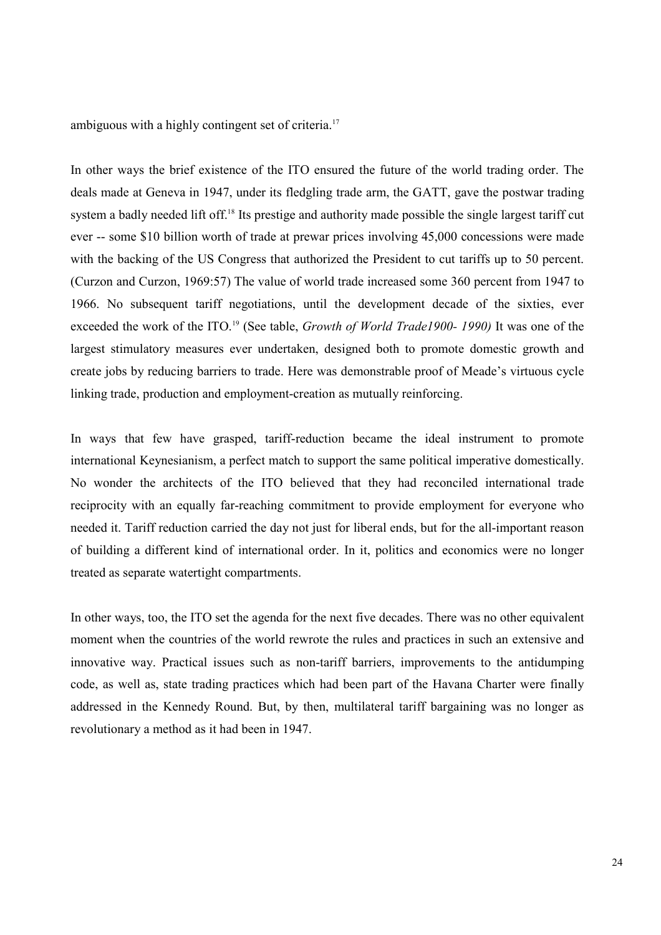ambiguous with a highly contingent set of criteria.<sup>17</sup>

In other ways the brief existence of the ITO ensured the future of the world trading order. The deals made at Geneva in 1947, under its fledgling trade arm, the GATT, gave the postwar trading system a badly needed lift off.<sup>18</sup> Its prestige and authority made possible the single largest tariff cut ever -- some \$10 billion worth of trade at prewar prices involving 45,000 concessions were made with the backing of the US Congress that authorized the President to cut tariffs up to 50 percent. (Curzon and Curzon, 1969:57) The value of world trade increased some 360 percent from 1947 to 1966. No subsequent tariff negotiations, until the development decade of the sixties, ever exceeded the work of the ITO.19 (See table, *Growth of World Trade1900- 1990)* It was one of the largest stimulatory measures ever undertaken, designed both to promote domestic growth and create jobs by reducing barriers to trade. Here was demonstrable proof of Meade's virtuous cycle linking trade, production and employment-creation as mutually reinforcing.

In ways that few have grasped, tariff-reduction became the ideal instrument to promote international Keynesianism, a perfect match to support the same political imperative domestically. No wonder the architects of the ITO believed that they had reconciled international trade reciprocity with an equally far-reaching commitment to provide employment for everyone who needed it. Tariff reduction carried the day not just for liberal ends, but for the all-important reason of building a different kind of international order. In it, politics and economics were no longer treated as separate watertight compartments.

In other ways, too, the ITO set the agenda for the next five decades. There was no other equivalent moment when the countries of the world rewrote the rules and practices in such an extensive and innovative way. Practical issues such as non-tariff barriers, improvements to the antidumping code, as well as, state trading practices which had been part of the Havana Charter were finally addressed in the Kennedy Round. But, by then, multilateral tariff bargaining was no longer as revolutionary a method as it had been in 1947.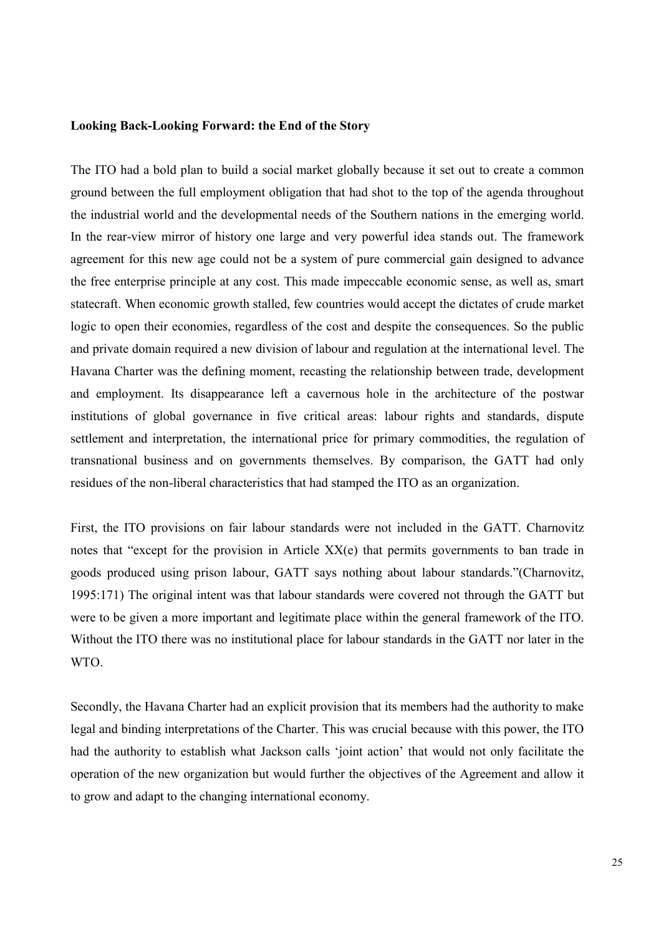### **Looking Back-Looking Forward: the End of the Story**

The ITO had a bold plan to build a social market globally because it set out to create a common ground between the full employment obligation that had shot to the top of the agenda throughout the industrial world and the developmental needs of the Southern nations in the emerging world. In the rear-view mirror of history one large and very powerful idea stands out. The framework agreement for this new age could not be a system of pure commercial gain designed to advance the free enterprise principle at any cost. This made impeccable economic sense, as well as, smart statecraft. When economic growth stalled, few countries would accept the dictates of crude market logic to open their economies, regardless of the cost and despite the consequences. So the public and private domain required a new division of labour and regulation at the international level. The Havana Charter was the defining moment, recasting the relationship between trade, development and employment. Its disappearance left a cavernous hole in the architecture of the postwar institutions of global governance in five critical areas: labour rights and standards, dispute settlement and interpretation, the international price for primary commodities, the regulation of transnational business and on governments themselves. By comparison, the GATT had only residues of the non-liberal characteristics that had stamped the ITO as an organization.

First, the ITO provisions on fair labour standards were not included in the GATT. Charnovitz notes that "except for the provision in Article XX(e) that permits governments to ban trade in goods produced using prison labour, GATT says nothing about labour standards."(Charnovitz, 1995:171) The original intent was that labour standards were covered not through the GATT but were to be given a more important and legitimate place within the general framework of the ITO. Without the ITO there was no institutional place for labour standards in the GATT nor later in the WTO.

Secondly, the Havana Charter had an explicit provision that its members had the authority to make legal and binding interpretations of the Charter. This was crucial because with this power, the ITO had the authority to establish what Jackson calls 'joint action' that would not only facilitate the operation of the new organization but would further the objectives of the Agreement and allow it to grow and adapt to the changing international economy.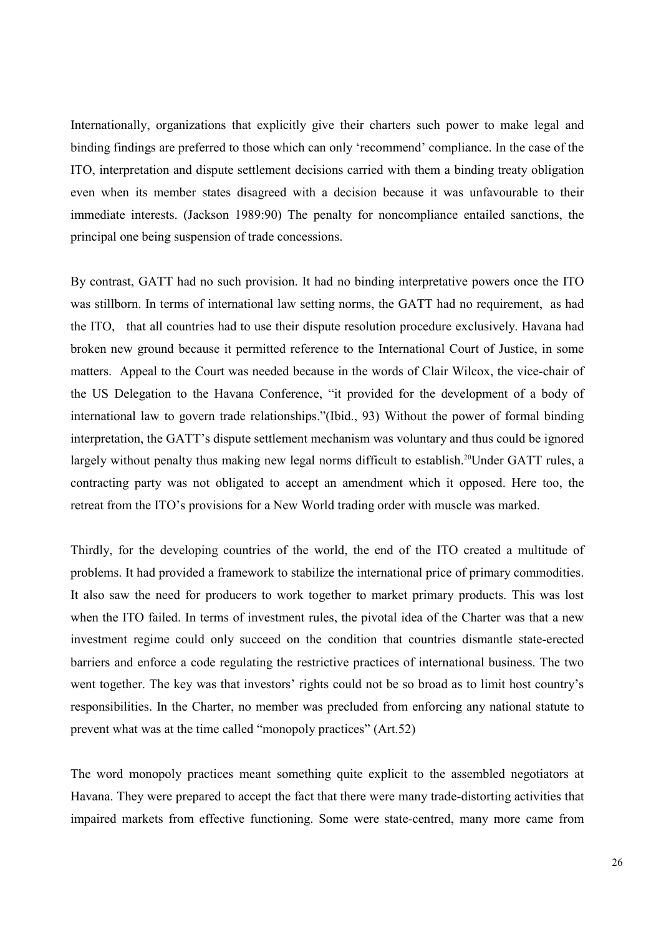Internationally, organizations that explicitly give their charters such power to make legal and binding findings are preferred to those which can only 'recommend' compliance. In the case of the ITO, interpretation and dispute settlement decisions carried with them a binding treaty obligation even when its member states disagreed with a decision because it was unfavourable to their immediate interests. (Jackson 1989:90) The penalty for noncompliance entailed sanctions, the principal one being suspension of trade concessions.

By contrast, GATT had no such provision. It had no binding interpretative powers once the ITO was stillborn. In terms of international law setting norms, the GATT had no requirement, as had the ITO, that all countries had to use their dispute resolution procedure exclusively. Havana had broken new ground because it permitted reference to the International Court of Justice, in some matters. Appeal to the Court was needed because in the words of Clair Wilcox, the vice-chair of the US Delegation to the Havana Conference, "it provided for the development of a body of international law to govern trade relationships."(Ibid., 93) Without the power of formal binding interpretation, the GATT's dispute settlement mechanism was voluntary and thus could be ignored largely without penalty thus making new legal norms difficult to establish.<sup>20</sup>Under GATT rules, a contracting party was not obligated to accept an amendment which it opposed. Here too, the retreat from the ITO's provisions for a New World trading order with muscle was marked.

Thirdly, for the developing countries of the world, the end of the ITO created a multitude of problems. It had provided a framework to stabilize the international price of primary commodities. It also saw the need for producers to work together to market primary products. This was lost when the ITO failed. In terms of investment rules, the pivotal idea of the Charter was that a new investment regime could only succeed on the condition that countries dismantle state-erected barriers and enforce a code regulating the restrictive practices of international business. The two went together. The key was that investors' rights could not be so broad as to limit host country's responsibilities. In the Charter, no member was precluded from enforcing any national statute to prevent what was at the time called "monopoly practices" (Art.52)

The word monopoly practices meant something quite explicit to the assembled negotiators at Havana. They were prepared to accept the fact that there were many trade-distorting activities that impaired markets from effective functioning. Some were state-centred, many more came from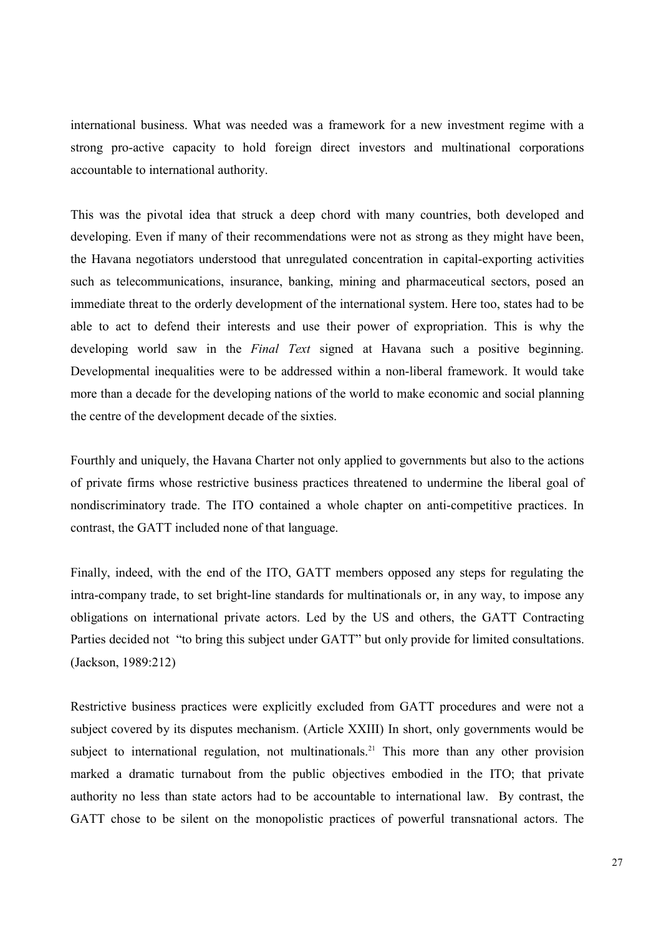international business. What was needed was a framework for a new investment regime with a strong pro-active capacity to hold foreign direct investors and multinational corporations accountable to international authority.

This was the pivotal idea that struck a deep chord with many countries, both developed and developing. Even if many of their recommendations were not as strong as they might have been, the Havana negotiators understood that unregulated concentration in capital-exporting activities such as telecommunications, insurance, banking, mining and pharmaceutical sectors, posed an immediate threat to the orderly development of the international system. Here too, states had to be able to act to defend their interests and use their power of expropriation. This is why the developing world saw in the *Final Text* signed at Havana such a positive beginning. Developmental inequalities were to be addressed within a non-liberal framework. It would take more than a decade for the developing nations of the world to make economic and social planning the centre of the development decade of the sixties.

Fourthly and uniquely, the Havana Charter not only applied to governments but also to the actions of private firms whose restrictive business practices threatened to undermine the liberal goal of nondiscriminatory trade. The ITO contained a whole chapter on anti-competitive practices. In contrast, the GATT included none of that language.

Finally, indeed, with the end of the ITO, GATT members opposed any steps for regulating the intra-company trade, to set bright-line standards for multinationals or, in any way, to impose any obligations on international private actors. Led by the US and others, the GATT Contracting Parties decided not "to bring this subject under GATT" but only provide for limited consultations. (Jackson, 1989:212)

Restrictive business practices were explicitly excluded from GATT procedures and were not a subject covered by its disputes mechanism. (Article XXIII) In short, only governments would be subject to international regulation, not multinationals.<sup>21</sup> This more than any other provision marked a dramatic turnabout from the public objectives embodied in the ITO; that private authority no less than state actors had to be accountable to international law. By contrast, the GATT chose to be silent on the monopolistic practices of powerful transnational actors. The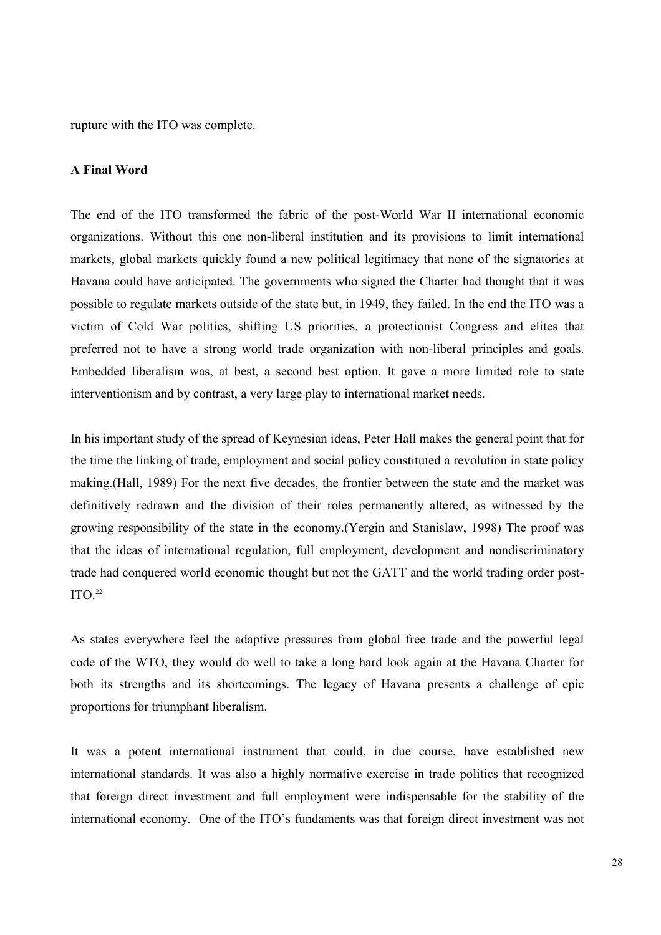rupture with the ITO was complete.

#### **A Final Word**

The end of the ITO transformed the fabric of the post-World War II international economic organizations. Without this one non-liberal institution and its provisions to limit international markets, global markets quickly found a new political legitimacy that none of the signatories at Havana could have anticipated. The governments who signed the Charter had thought that it was possible to regulate markets outside of the state but, in 1949, they failed. In the end the ITO was a victim of Cold War politics, shifting US priorities, a protectionist Congress and elites that preferred not to have a strong world trade organization with non-liberal principles and goals. Embedded liberalism was, at best, a second best option. It gave a more limited role to state interventionism and by contrast, a very large play to international market needs.

In his important study of the spread of Keynesian ideas, Peter Hall makes the general point that for the time the linking of trade, employment and social policy constituted a revolution in state policy making.(Hall, 1989) For the next five decades, the frontier between the state and the market was definitively redrawn and the division of their roles permanently altered, as witnessed by the growing responsibility of the state in the economy.(Yergin and Stanislaw, 1998) The proof was that the ideas of international regulation, full employment, development and nondiscriminatory trade had conquered world economic thought but not the GATT and the world trading order post- $ITO<sup>22</sup>$ 

As states everywhere feel the adaptive pressures from global free trade and the powerful legal code of the WTO, they would do well to take a long hard look again at the Havana Charter for both its strengths and its shortcomings. The legacy of Havana presents a challenge of epic proportions for triumphant liberalism.

It was a potent international instrument that could, in due course, have established new international standards. It was also a highly normative exercise in trade politics that recognized that foreign direct investment and full employment were indispensable for the stability of the international economy. One of the ITO's fundaments was that foreign direct investment was not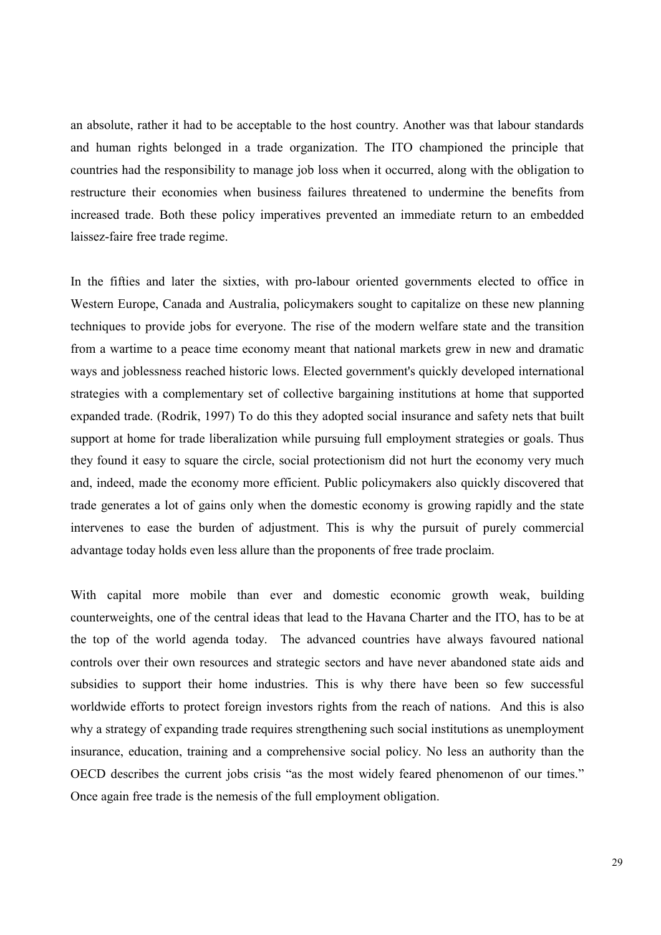an absolute, rather it had to be acceptable to the host country. Another was that labour standards and human rights belonged in a trade organization. The ITO championed the principle that countries had the responsibility to manage job loss when it occurred, along with the obligation to restructure their economies when business failures threatened to undermine the benefits from increased trade. Both these policy imperatives prevented an immediate return to an embedded laissez-faire free trade regime.

In the fifties and later the sixties, with pro-labour oriented governments elected to office in Western Europe, Canada and Australia, policymakers sought to capitalize on these new planning techniques to provide jobs for everyone. The rise of the modern welfare state and the transition from a wartime to a peace time economy meant that national markets grew in new and dramatic ways and joblessness reached historic lows. Elected government's quickly developed international strategies with a complementary set of collective bargaining institutions at home that supported expanded trade. (Rodrik, 1997) To do this they adopted social insurance and safety nets that built support at home for trade liberalization while pursuing full employment strategies or goals. Thus they found it easy to square the circle, social protectionism did not hurt the economy very much and, indeed, made the economy more efficient. Public policymakers also quickly discovered that trade generates a lot of gains only when the domestic economy is growing rapidly and the state intervenes to ease the burden of adjustment. This is why the pursuit of purely commercial advantage today holds even less allure than the proponents of free trade proclaim.

With capital more mobile than ever and domestic economic growth weak, building counterweights, one of the central ideas that lead to the Havana Charter and the ITO, has to be at the top of the world agenda today. The advanced countries have always favoured national controls over their own resources and strategic sectors and have never abandoned state aids and subsidies to support their home industries. This is why there have been so few successful worldwide efforts to protect foreign investors rights from the reach of nations. And this is also why a strategy of expanding trade requires strengthening such social institutions as unemployment insurance, education, training and a comprehensive social policy. No less an authority than the OECD describes the current jobs crisis "as the most widely feared phenomenon of our times." Once again free trade is the nemesis of the full employment obligation.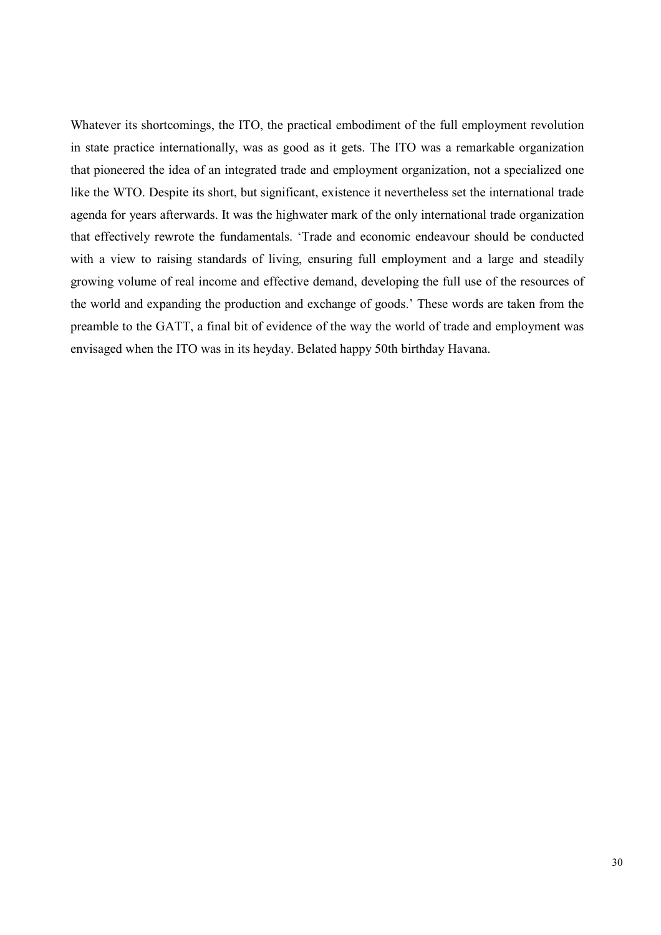Whatever its shortcomings, the ITO, the practical embodiment of the full employment revolution in state practice internationally, was as good as it gets. The ITO was a remarkable organization that pioneered the idea of an integrated trade and employment organization, not a specialized one like the WTO. Despite its short, but significant, existence it nevertheless set the international trade agenda for years afterwards. It was the highwater mark of the only international trade organization that effectively rewrote the fundamentals. 'Trade and economic endeavour should be conducted with a view to raising standards of living, ensuring full employment and a large and steadily growing volume of real income and effective demand, developing the full use of the resources of the world and expanding the production and exchange of goods.' These words are taken from the preamble to the GATT, a final bit of evidence of the way the world of trade and employment was envisaged when the ITO was in its heyday. Belated happy 50th birthday Havana.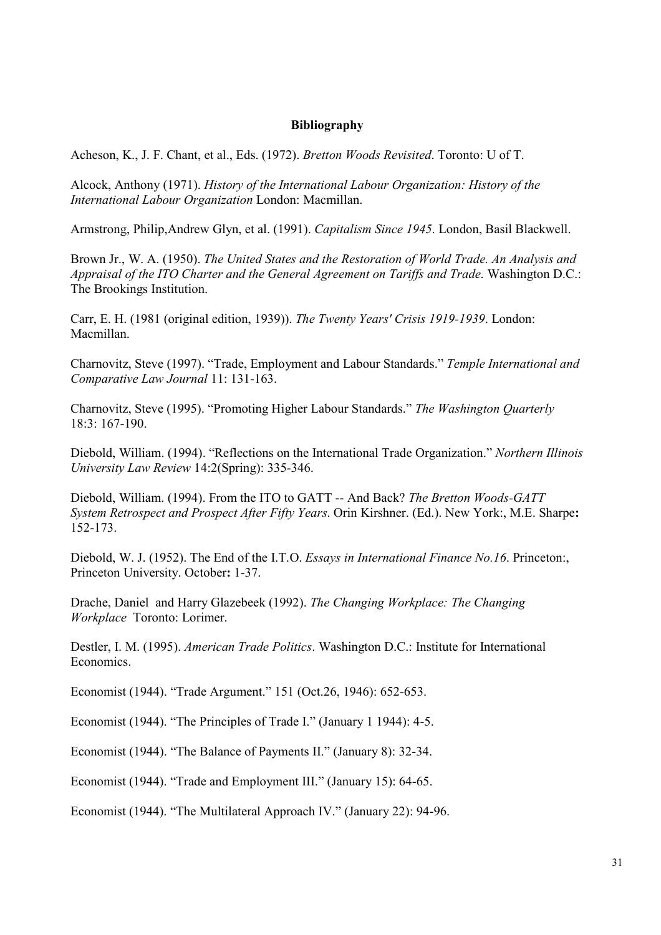### **Bibliography**

Acheson, K., J. F. Chant, et al., Eds. (1972). *Bretton Woods Revisited*. Toronto: U of T.

Alcock, Anthony (1971). *History of the International Labour Organization: History of the International Labour Organization* London: Macmillan.

Armstrong, Philip,Andrew Glyn, et al. (1991). *Capitalism Since 1945*. London, Basil Blackwell.

Brown Jr., W. A. (1950). *The United States and the Restoration of World Trade. An Analysis and Appraisal of the ITO Charter and the General Agreement on Tariffs and Trade*. Washington D.C.: The Brookings Institution.

Carr, E. H. (1981 (original edition, 1939)). *The Twenty Years' Crisis 1919-1939*. London: Macmillan.

Charnovitz, Steve (1997). "Trade, Employment and Labour Standards." *Temple International and Comparative Law Journal* 11: 131-163.

Charnovitz, Steve (1995). "Promoting Higher Labour Standards." *The Washington Quarterly* 18:3: 167-190.

Diebold, William. (1994). "Reflections on the International Trade Organization." *Northern Illinois University Law Review* 14:2(Spring): 335-346.

Diebold, William. (1994). From the ITO to GATT -- And Back? *The Bretton Woods-GATT System Retrospect and Prospect After Fifty Years*. Orin Kirshner. (Ed.). New York:, M.E. Sharpe**:**  152-173.

Diebold, W. J. (1952). The End of the I.T.O. *Essays in International Finance No.16*. Princeton:, Princeton University. October**:** 1-37.

Drache, Daniel and Harry Glazebeek (1992). *The Changing Workplace: The Changing Workplace* Toronto: Lorimer.

Destler, I. M. (1995). *American Trade Politics*. Washington D.C.: Institute for International Economics.

Economist (1944). "Trade Argument." 151 (Oct.26, 1946): 652-653.

Economist (1944). "The Principles of Trade I." (January 1 1944): 4-5.

Economist (1944). "The Balance of Payments II." (January 8): 32-34.

Economist (1944). "Trade and Employment III." (January 15): 64-65.

Economist (1944). "The Multilateral Approach IV." (January 22): 94-96.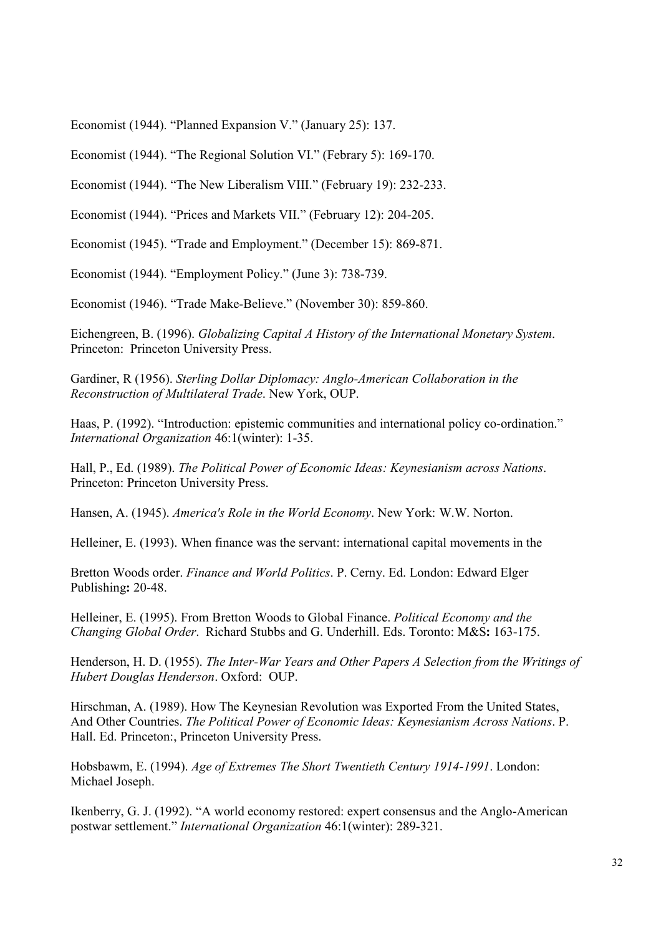Economist (1944). "Planned Expansion V." (January 25): 137.

Economist (1944). "The Regional Solution VI." (Febrary 5): 169-170.

Economist (1944). "The New Liberalism VIII." (February 19): 232-233.

Economist (1944). "Prices and Markets VII." (February 12): 204-205.

Economist (1945). "Trade and Employment." (December 15): 869-871.

Economist (1944). "Employment Policy." (June 3): 738-739.

Economist (1946). "Trade Make-Believe." (November 30): 859-860.

Eichengreen, B. (1996). *Globalizing Capital A History of the International Monetary System*. Princeton: Princeton University Press.

Gardiner, R (1956). *Sterling Dollar Diplomacy: Anglo-American Collaboration in the Reconstruction of Multilateral Trade*. New York, OUP.

Haas, P. (1992). "Introduction: epistemic communities and international policy co-ordination." *International Organization* 46:1(winter): 1-35.

Hall, P., Ed. (1989). *The Political Power of Economic Ideas: Keynesianism across Nations*. Princeton: Princeton University Press.

Hansen, A. (1945). *America's Role in the World Economy*. New York: W.W. Norton.

Helleiner, E. (1993). When finance was the servant: international capital movements in the

Bretton Woods order. *Finance and World Politics*. P. Cerny. Ed. London: Edward Elger Publishing**:** 20-48.

Helleiner, E. (1995). From Bretton Woods to Global Finance. *Political Economy and the Changing Global Order*. Richard Stubbs and G. Underhill. Eds. Toronto: M&S**:** 163-175.

Henderson, H. D. (1955). *The Inter-War Years and Other Papers A Selection from the Writings of Hubert Douglas Henderson*. Oxford: OUP.

Hirschman, A. (1989). How The Keynesian Revolution was Exported From the United States, And Other Countries. *The Political Power of Economic Ideas: Keynesianism Across Nations*. P. Hall. Ed. Princeton:, Princeton University Press.

Hobsbawm, E. (1994). *Age of Extremes The Short Twentieth Century 1914-1991*. London: Michael Joseph.

Ikenberry, G. J. (1992). "A world economy restored: expert consensus and the Anglo-American postwar settlement." *International Organization* 46:1(winter): 289-321.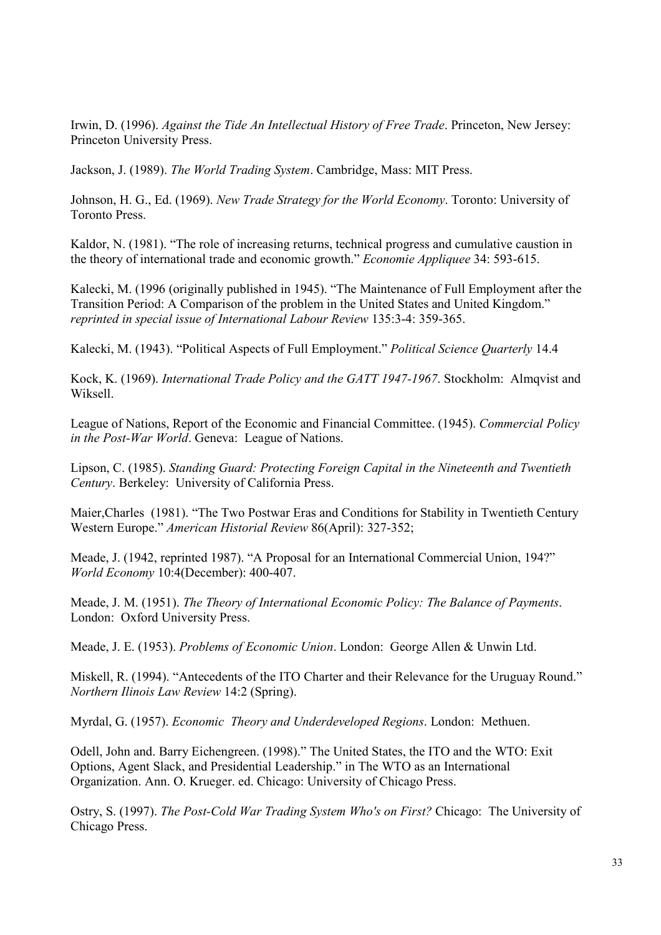Irwin, D. (1996). *Against the Tide An Intellectual History of Free Trade*. Princeton, New Jersey: Princeton University Press.

Jackson, J. (1989). *The World Trading System*. Cambridge, Mass: MIT Press.

Johnson, H. G., Ed. (1969). *New Trade Strategy for the World Economy*. Toronto: University of Toronto Press.

Kaldor, N. (1981). "The role of increasing returns, technical progress and cumulative caustion in the theory of international trade and economic growth." *Economie Appliquee* 34: 593-615.

Kalecki, M. (1996 (originally published in 1945). "The Maintenance of Full Employment after the Transition Period: A Comparison of the problem in the United States and United Kingdom." *reprinted in special issue of International Labour Review* 135:3-4: 359-365.

Kalecki, M. (1943). "Political Aspects of Full Employment." *Political Science Quarterly* 14.4

Kock, K. (1969). *International Trade Policy and the GATT 1947-1967*. Stockholm: Almqvist and Wiksell.

League of Nations, Report of the Economic and Financial Committee. (1945). *Commercial Policy in the Post-War World*. Geneva: League of Nations.

Lipson, C. (1985). *Standing Guard: Protecting Foreign Capital in the Nineteenth and Twentieth Century*. Berkeley: University of California Press.

Maier,Charles (1981). "The Two Postwar Eras and Conditions for Stability in Twentieth Century Western Europe." *American Historial Review* 86(April): 327-352;

Meade, J. (1942, reprinted 1987). "A Proposal for an International Commercial Union, 194?" *World Economy* 10:4(December): 400-407.

Meade, J. M. (1951). *The Theory of International Economic Policy: The Balance of Payments*. London: Oxford University Press.

Meade, J. E. (1953). *Problems of Economic Union*. London: George Allen & Unwin Ltd.

Miskell, R. (1994). "Antecedents of the ITO Charter and their Relevance for the Uruguay Round." *Northern Ilinois Law Review* 14:2 (Spring).

Myrdal, G. (1957). *Economic Theory and Underdeveloped Regions*. London: Methuen.

Odell, John and. Barry Eichengreen. (1998)." The United States, the ITO and the WTO: Exit Options, Agent Slack, and Presidential Leadership." in The WTO as an International Organization. Ann. O. Krueger. ed. Chicago: University of Chicago Press.

Ostry, S. (1997). *The Post-Cold War Trading System Who's on First?* Chicago: The University of Chicago Press.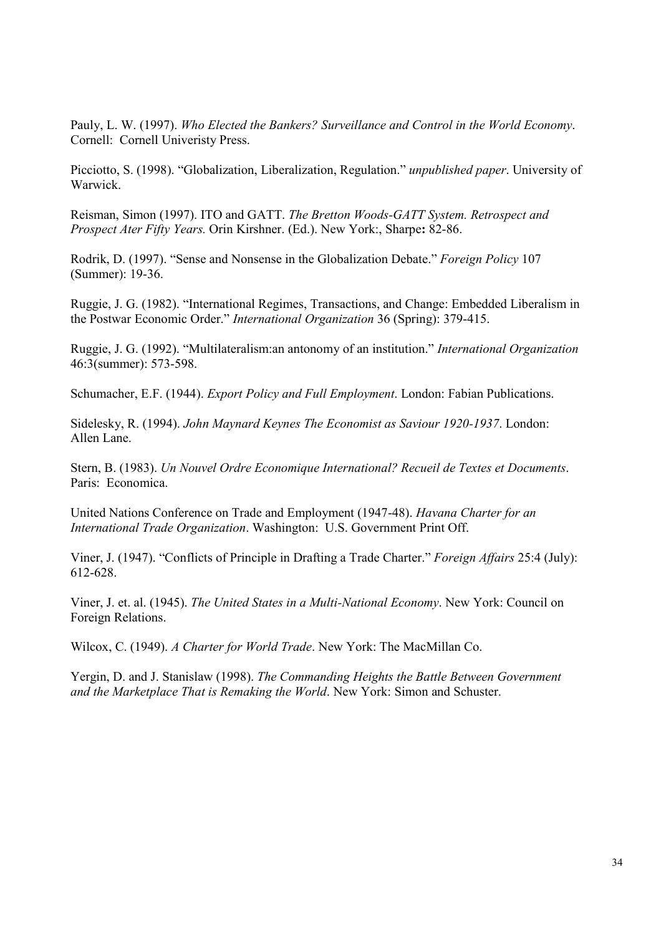Pauly, L. W. (1997). *Who Elected the Bankers? Surveillance and Control in the World Economy*. Cornell: Cornell Univeristy Press.

Picciotto, S. (1998). "Globalization, Liberalization, Regulation." *unpublished paper*. University of Warwick.

Reisman, Simon (1997). ITO and GATT. *The Bretton Woods-GATT System. Retrospect and Prospect Ater Fifty Years.* Orin Kirshner. (Ed.). New York:, Sharpe**:** 82-86.

Rodrik, D. (1997). "Sense and Nonsense in the Globalization Debate." *Foreign Policy* 107 (Summer): 19-36.

Ruggie, J. G. (1982). "International Regimes, Transactions, and Change: Embedded Liberalism in the Postwar Economic Order." *International Organization* 36 (Spring): 379-415.

Ruggie, J. G. (1992). "Multilateralism:an antonomy of an institution." *International Organization* 46:3(summer): 573-598.

Schumacher, E.F. (1944). *Export Policy and Full Employment*. London: Fabian Publications.

Sidelesky, R. (1994). *John Maynard Keynes The Economist as Saviour 1920-1937*. London: Allen Lane.

Stern, B. (1983). *Un Nouvel Ordre Economique International? Recueil de Textes et Documents*. Paris: Economica.

United Nations Conference on Trade and Employment (1947-48). *Havana Charter for an International Trade Organization*. Washington: U.S. Government Print Off.

Viner, J. (1947). "Conflicts of Principle in Drafting a Trade Charter." *Foreign Affairs* 25:4 (July): 612-628.

Viner, J. et. al. (1945). *The United States in a Multi-National Economy*. New York: Council on Foreign Relations.

Wilcox, C. (1949). *A Charter for World Trade*. New York: The MacMillan Co.

Yergin, D. and J. Stanislaw (1998). *The Commanding Heights the Battle Between Government and the Marketplace That is Remaking the World*. New York: Simon and Schuster.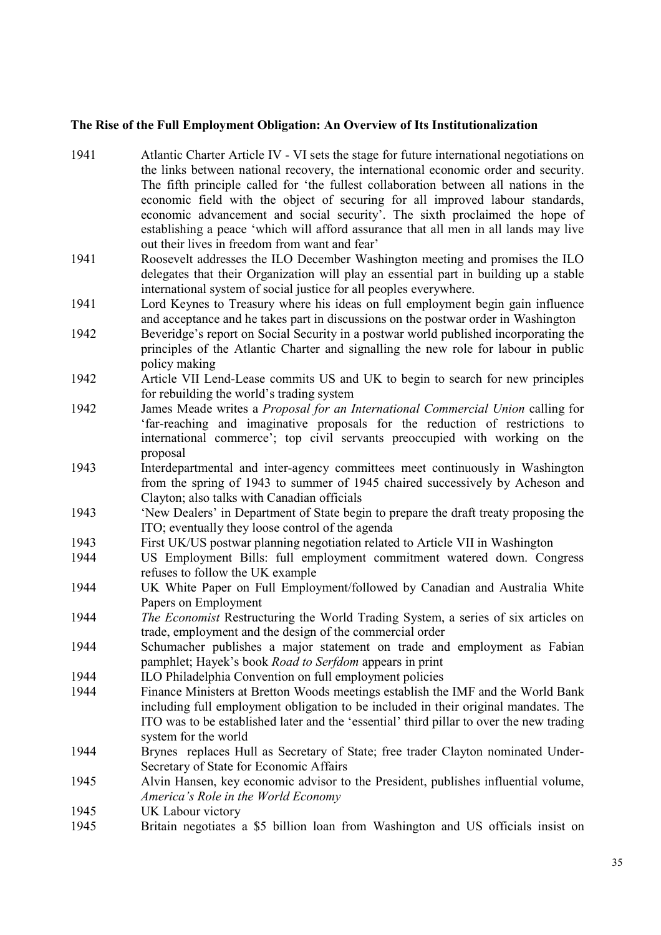## **The Rise of the Full Employment Obligation: An Overview of Its Institutionalization**

| 1941 | Atlantic Charter Article IV - VI sets the stage for future international negotiations on<br>the links between national recovery, the international economic order and security.<br>The fifth principle called for 'the fullest collaboration between all nations in the |
|------|-------------------------------------------------------------------------------------------------------------------------------------------------------------------------------------------------------------------------------------------------------------------------|
|      | economic field with the object of securing for all improved labour standards,                                                                                                                                                                                           |
|      | economic advancement and social security'. The sixth proclaimed the hope of<br>establishing a peace 'which will afford assurance that all men in all lands may live                                                                                                     |
|      | out their lives in freedom from want and fear'                                                                                                                                                                                                                          |
| 1941 | Roosevelt addresses the ILO December Washington meeting and promises the ILO<br>delegates that their Organization will play an essential part in building up a stable                                                                                                   |
| 1941 | international system of social justice for all peoples everywhere.<br>Lord Keynes to Treasury where his ideas on full employment begin gain influence                                                                                                                   |
|      | and acceptance and he takes part in discussions on the postwar order in Washington                                                                                                                                                                                      |
| 1942 | Beveridge's report on Social Security in a postwar world published incorporating the<br>principles of the Atlantic Charter and signalling the new role for labour in public                                                                                             |
| 1942 | policy making<br>Article VII Lend-Lease commits US and UK to begin to search for new principles                                                                                                                                                                         |
|      | for rebuilding the world's trading system                                                                                                                                                                                                                               |
| 1942 | James Meade writes a Proposal for an International Commercial Union calling for                                                                                                                                                                                         |
|      | 'far-reaching and imaginative proposals for the reduction of restrictions to                                                                                                                                                                                            |
|      | international commerce'; top civil servants preoccupied with working on the                                                                                                                                                                                             |
| 1943 | proposal<br>Interdepartmental and inter-agency committees meet continuously in Washington                                                                                                                                                                               |
|      | from the spring of 1943 to summer of 1945 chaired successively by Acheson and                                                                                                                                                                                           |
|      | Clayton; also talks with Canadian officials                                                                                                                                                                                                                             |
| 1943 | 'New Dealers' in Department of State begin to prepare the draft treaty proposing the<br>ITO; eventually they loose control of the agenda                                                                                                                                |
| 1943 | First UK/US postwar planning negotiation related to Article VII in Washington                                                                                                                                                                                           |
| 1944 | US Employment Bills: full employment commitment watered down. Congress                                                                                                                                                                                                  |
| 1944 | refuses to follow the UK example<br>UK White Paper on Full Employment/followed by Canadian and Australia White                                                                                                                                                          |
|      | Papers on Employment                                                                                                                                                                                                                                                    |
| 1944 | The Economist Restructuring the World Trading System, a series of six articles on                                                                                                                                                                                       |
|      | trade, employment and the design of the commercial order                                                                                                                                                                                                                |
| 1944 | Schumacher publishes a major statement on trade and employment as Fabian<br>pamphlet; Hayek's book <i>Road to Serfdom</i> appears in print                                                                                                                              |
| 1944 | ILO Philadelphia Convention on full employment policies                                                                                                                                                                                                                 |
| 1944 | Finance Ministers at Bretton Woods meetings establish the IMF and the World Bank                                                                                                                                                                                        |
|      | including full employment obligation to be included in their original mandates. The                                                                                                                                                                                     |
|      | ITO was to be established later and the 'essential' third pillar to over the new trading<br>system for the world                                                                                                                                                        |
| 1944 | Brynes replaces Hull as Secretary of State; free trader Clayton nominated Under-                                                                                                                                                                                        |
|      | Secretary of State for Economic Affairs                                                                                                                                                                                                                                 |
| 1945 | Alvin Hansen, key economic advisor to the President, publishes influential volume,                                                                                                                                                                                      |
|      | America's Role in the World Economy                                                                                                                                                                                                                                     |
| 1945 | UK Labour victory                                                                                                                                                                                                                                                       |
| 1945 | Britain negotiates a \$5 billion loan from Washington and US officials insist on                                                                                                                                                                                        |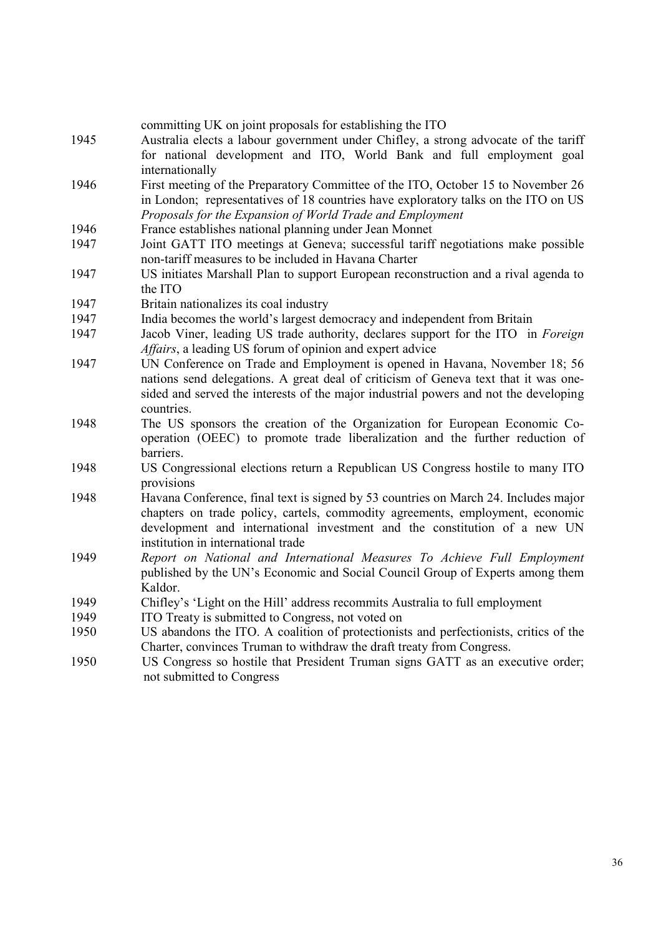|      | committing UK on joint proposals for establishing the ITO                             |
|------|---------------------------------------------------------------------------------------|
| 1945 | Australia elects a labour government under Chifley, a strong advocate of the tariff   |
|      | for national development and ITO, World Bank and full employment goal                 |
|      | internationally                                                                       |
| 1946 | First meeting of the Preparatory Committee of the ITO, October 15 to November 26      |
|      | in London; representatives of 18 countries have exploratory talks on the ITO on US    |
|      | Proposals for the Expansion of World Trade and Employment                             |
| 1946 | France establishes national planning under Jean Monnet                                |
| 1947 | Joint GATT ITO meetings at Geneva; successful tariff negotiations make possible       |
|      | non-tariff measures to be included in Havana Charter                                  |
| 1947 | US initiates Marshall Plan to support European reconstruction and a rival agenda to   |
|      | the ITO                                                                               |
| 1947 | Britain nationalizes its coal industry                                                |
| 1947 | India becomes the world's largest democracy and independent from Britain              |
| 1947 | Jacob Viner, leading US trade authority, declares support for the ITO in Foreign      |
|      | Affairs, a leading US forum of opinion and expert advice                              |
| 1947 | UN Conference on Trade and Employment is opened in Havana, November 18; 56            |
|      | nations send delegations. A great deal of criticism of Geneva text that it was one-   |
|      | sided and served the interests of the major industrial powers and not the developing  |
|      | countries.                                                                            |
| 1948 | The US sponsors the creation of the Organization for European Economic Co-            |
|      | operation (OEEC) to promote trade liberalization and the further reduction of         |
|      | barriers.                                                                             |
| 1948 | US Congressional elections return a Republican US Congress hostile to many ITO        |
|      | provisions                                                                            |
| 1948 | Havana Conference, final text is signed by 53 countries on March 24. Includes major   |
|      | chapters on trade policy, cartels, commodity agreements, employment, economic         |
|      | development and international investment and the constitution of a new UN             |
|      | institution in international trade                                                    |
| 1949 | Report on National and International Measures To Achieve Full Employment              |
|      | published by the UN's Economic and Social Council Group of Experts among them         |
|      | Kaldor.                                                                               |
| 1949 | Chifley's 'Light on the Hill' address recommits Australia to full employment          |
| 1949 | ITO Treaty is submitted to Congress, not voted on                                     |
| 1950 | US abandons the ITO. A coalition of protectionists and perfectionists, critics of the |
|      | Charter, convinces Truman to withdraw the draft treaty from Congress.                 |
| 1950 | US Congress so hostile that President Truman signs GATT as an executive order;        |
|      | not submitted to Congress                                                             |
|      |                                                                                       |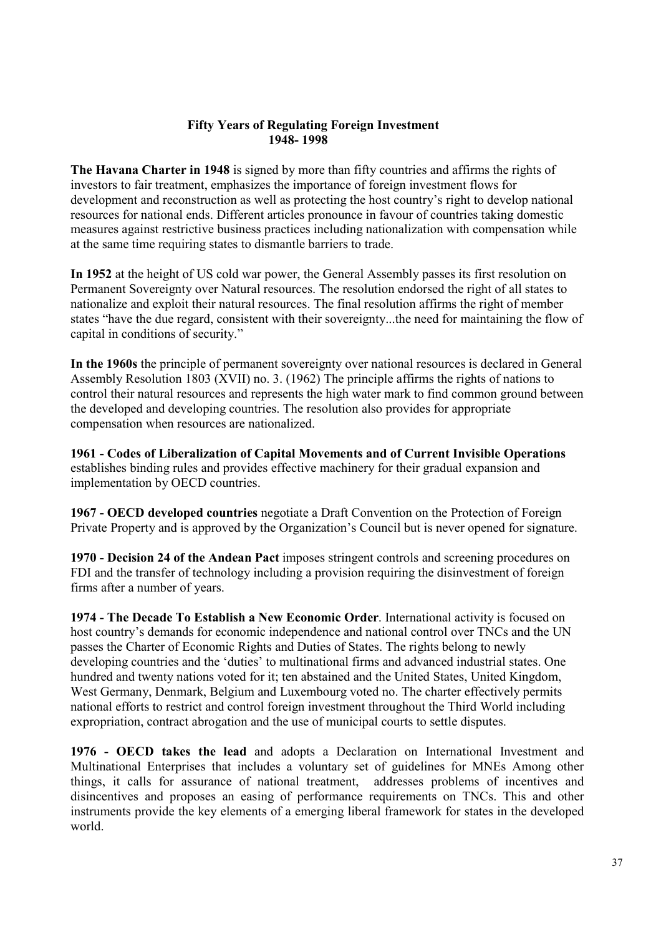### **Fifty Years of Regulating Foreign Investment 1948- 1998**

**The Havana Charter in 1948** is signed by more than fifty countries and affirms the rights of investors to fair treatment, emphasizes the importance of foreign investment flows for development and reconstruction as well as protecting the host country's right to develop national resources for national ends. Different articles pronounce in favour of countries taking domestic measures against restrictive business practices including nationalization with compensation while at the same time requiring states to dismantle barriers to trade.

**In 1952** at the height of US cold war power, the General Assembly passes its first resolution on Permanent Sovereignty over Natural resources. The resolution endorsed the right of all states to nationalize and exploit their natural resources. The final resolution affirms the right of member states "have the due regard, consistent with their sovereignty...the need for maintaining the flow of capital in conditions of security."

**In the 1960s** the principle of permanent sovereignty over national resources is declared in General Assembly Resolution 1803 (XVII) no. 3. (1962) The principle affirms the rights of nations to control their natural resources and represents the high water mark to find common ground between the developed and developing countries. The resolution also provides for appropriate compensation when resources are nationalized.

**1961 - Codes of Liberalization of Capital Movements and of Current Invisible Operations** establishes binding rules and provides effective machinery for their gradual expansion and implementation by OECD countries.

**1967 - OECD developed countries** negotiate a Draft Convention on the Protection of Foreign Private Property and is approved by the Organization's Council but is never opened for signature.

**1970 - Decision 24 of the Andean Pact** imposes stringent controls and screening procedures on FDI and the transfer of technology including a provision requiring the disinvestment of foreign firms after a number of years.

**1974 - The Decade To Establish a New Economic Order**. International activity is focused on host country's demands for economic independence and national control over TNCs and the UN passes the Charter of Economic Rights and Duties of States. The rights belong to newly developing countries and the 'duties' to multinational firms and advanced industrial states. One hundred and twenty nations voted for it; ten abstained and the United States, United Kingdom, West Germany, Denmark, Belgium and Luxembourg voted no. The charter effectively permits national efforts to restrict and control foreign investment throughout the Third World including expropriation, contract abrogation and the use of municipal courts to settle disputes.

**1976 - OECD takes the lead** and adopts a Declaration on International Investment and Multinational Enterprises that includes a voluntary set of guidelines for MNEs Among other things, it calls for assurance of national treatment, addresses problems of incentives and disincentives and proposes an easing of performance requirements on TNCs. This and other instruments provide the key elements of a emerging liberal framework for states in the developed world.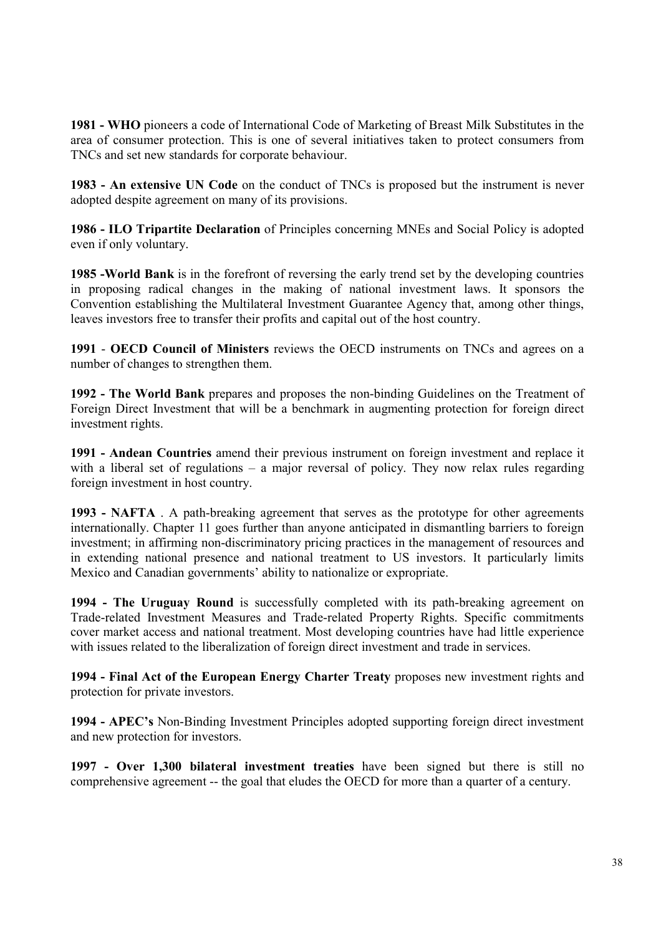**1981 - WHO** pioneers a code of International Code of Marketing of Breast Milk Substitutes in the area of consumer protection. This is one of several initiatives taken to protect consumers from TNCs and set new standards for corporate behaviour.

**1983 - An extensive UN Code** on the conduct of TNCs is proposed but the instrument is never adopted despite agreement on many of its provisions.

**1986 - ILO Tripartite Declaration** of Principles concerning MNEs and Social Policy is adopted even if only voluntary.

**1985 -World Bank** is in the forefront of reversing the early trend set by the developing countries in proposing radical changes in the making of national investment laws. It sponsors the Convention establishing the Multilateral Investment Guarantee Agency that, among other things, leaves investors free to transfer their profits and capital out of the host country.

**1991** - **OECD Council of Ministers** reviews the OECD instruments on TNCs and agrees on a number of changes to strengthen them.

**1992 - The World Bank** prepares and proposes the non-binding Guidelines on the Treatment of Foreign Direct Investment that will be a benchmark in augmenting protection for foreign direct investment rights.

**1991 - Andean Countries** amend their previous instrument on foreign investment and replace it with a liberal set of regulations – a major reversal of policy. They now relax rules regarding foreign investment in host country.

**1993 - NAFTA** . A path-breaking agreement that serves as the prototype for other agreements internationally. Chapter 11 goes further than anyone anticipated in dismantling barriers to foreign investment; in affirming non-discriminatory pricing practices in the management of resources and in extending national presence and national treatment to US investors. It particularly limits Mexico and Canadian governments' ability to nationalize or expropriate.

**1994 - The Uruguay Round** is successfully completed with its path-breaking agreement on Trade-related Investment Measures and Trade-related Property Rights. Specific commitments cover market access and national treatment. Most developing countries have had little experience with issues related to the liberalization of foreign direct investment and trade in services.

**1994 - Final Act of the European Energy Charter Treaty** proposes new investment rights and protection for private investors.

**1994 - APEC's** Non-Binding Investment Principles adopted supporting foreign direct investment and new protection for investors.

**1997 - Over 1,300 bilateral investment treaties** have been signed but there is still no comprehensive agreement -- the goal that eludes the OECD for more than a quarter of a century.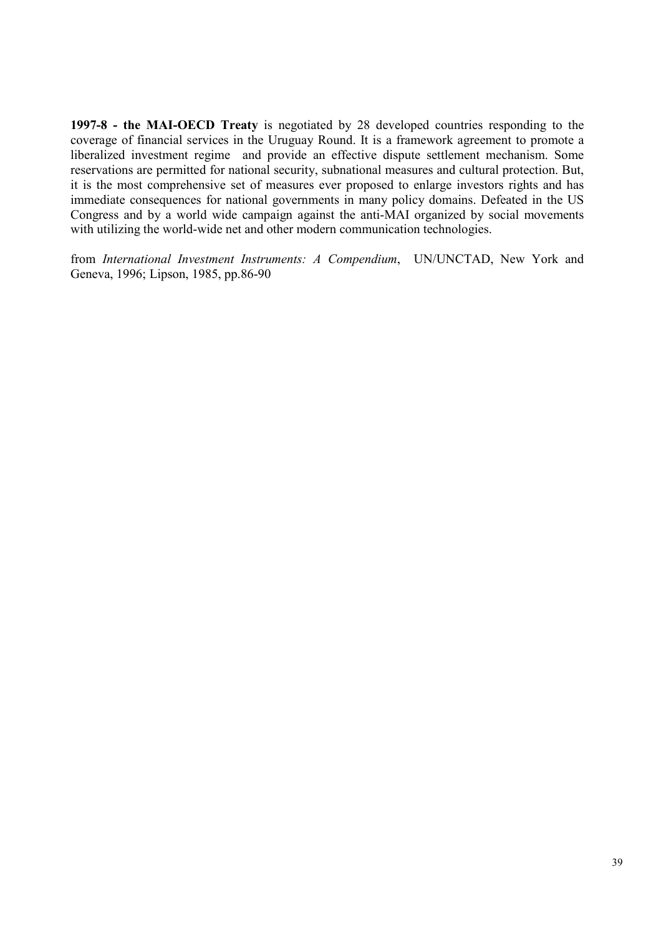**1997-8 - the MAI-OECD Treaty** is negotiated by 28 developed countries responding to the coverage of financial services in the Uruguay Round. It is a framework agreement to promote a liberalized investment regime and provide an effective dispute settlement mechanism. Some reservations are permitted for national security, subnational measures and cultural protection. But, it is the most comprehensive set of measures ever proposed to enlarge investors rights and has immediate consequences for national governments in many policy domains. Defeated in the US Congress and by a world wide campaign against the anti-MAI organized by social movements with utilizing the world-wide net and other modern communication technologies.

from *International Investment Instruments: A Compendium*, UN/UNCTAD, New York and Geneva, 1996; Lipson, 1985, pp.86-90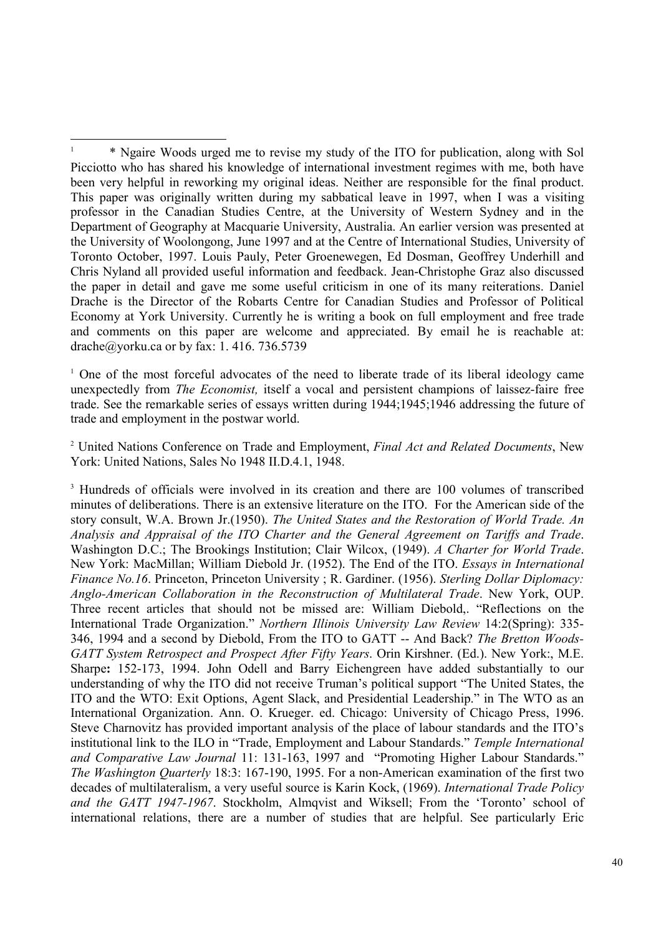<sup>1</sup> One of the most forceful advocates of the need to liberate trade of its liberal ideology came unexpectedly from *The Economist,* itself a vocal and persistent champions of laissez-faire free trade. See the remarkable series of essays written during 1944;1945;1946 addressing the future of trade and employment in the postwar world.

2 United Nations Conference on Trade and Employment, *Final Act and Related Documents*, New York: United Nations, Sales No 1948 II.D.4.1, 1948.

<sup>3</sup> Hundreds of officials were involved in its creation and there are 100 volumes of transcribed minutes of deliberations. There is an extensive literature on the ITO. For the American side of the story consult, W.A. Brown Jr.(1950). *The United States and the Restoration of World Trade. An Analysis and Appraisal of the ITO Charter and the General Agreement on Tariffs and Trade*. Washington D.C.; The Brookings Institution; Clair Wilcox, (1949). *A Charter for World Trade*. New York: MacMillan; William Diebold Jr. (1952). The End of the ITO. *Essays in International Finance No.16*. Princeton, Princeton University ; R. Gardiner. (1956). *Sterling Dollar Diplomacy: Anglo-American Collaboration in the Reconstruction of Multilateral Trade*. New York, OUP. Three recent articles that should not be missed are: William Diebold,. "Reflections on the International Trade Organization." *Northern Illinois University Law Review* 14:2(Spring): 335- 346, 1994 and a second by Diebold, From the ITO to GATT -- And Back? *The Bretton Woods-GATT System Retrospect and Prospect After Fifty Years*. Orin Kirshner. (Ed.). New York:, M.E. Sharpe**:** 152-173, 1994. John Odell and Barry Eichengreen have added substantially to our understanding of why the ITO did not receive Truman's political support "The United States, the ITO and the WTO: Exit Options, Agent Slack, and Presidential Leadership." in The WTO as an International Organization. Ann. O. Krueger. ed. Chicago: University of Chicago Press, 1996. Steve Charnovitz has provided important analysis of the place of labour standards and the ITO's institutional link to the ILO in "Trade, Employment and Labour Standards." *Temple International and Comparative Law Journal* 11: 131-163, 1997 and "Promoting Higher Labour Standards." *The Washington Quarterly* 18:3: 167-190, 1995. For a non-American examination of the first two decades of multilateralism, a very useful source is Karin Kock, (1969). *International Trade Policy and the GATT 1947-1967*. Stockholm, Almqvist and Wiksell; From the 'Toronto' school of international relations, there are a number of studies that are helpful. See particularly Eric

 $\overline{a}$ 1 \* Ngaire Woods urged me to revise my study of the ITO for publication, along with Sol Picciotto who has shared his knowledge of international investment regimes with me, both have been very helpful in reworking my original ideas. Neither are responsible for the final product. This paper was originally written during my sabbatical leave in 1997, when I was a visiting professor in the Canadian Studies Centre, at the University of Western Sydney and in the Department of Geography at Macquarie University, Australia. An earlier version was presented at the University of Woolongong, June 1997 and at the Centre of International Studies, University of Toronto October, 1997. Louis Pauly, Peter Groenewegen, Ed Dosman, Geoffrey Underhill and Chris Nyland all provided useful information and feedback. Jean-Christophe Graz also discussed the paper in detail and gave me some useful criticism in one of its many reiterations. Daniel Drache is the Director of the Robarts Centre for Canadian Studies and Professor of Political Economy at York University. Currently he is writing a book on full employment and free trade and comments on this paper are welcome and appreciated. By email he is reachable at: drache@yorku.ca or by fax: 1. 416. 736.5739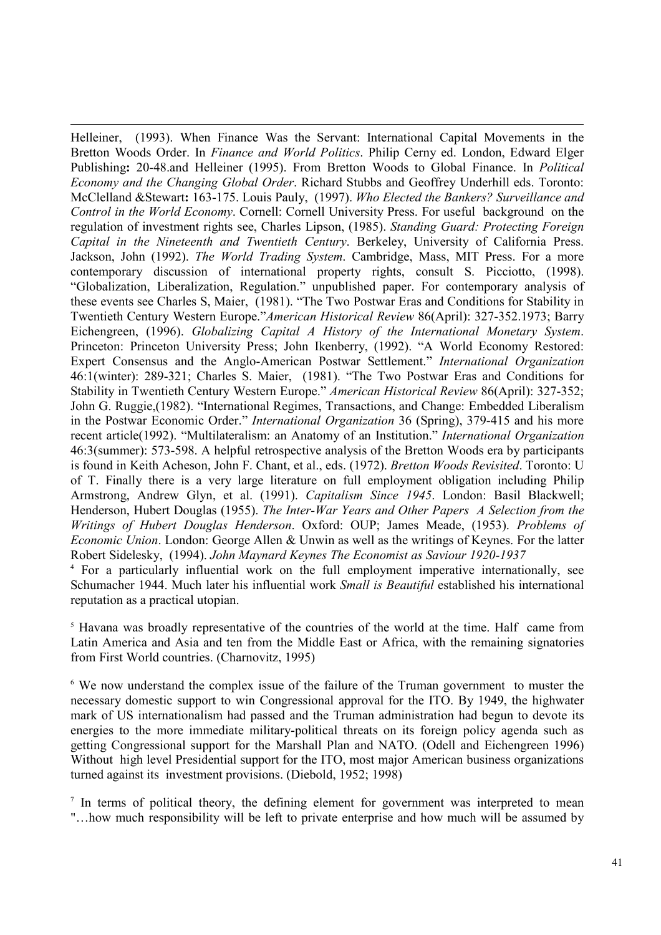$\overline{a}$ Helleiner, (1993). When Finance Was the Servant: International Capital Movements in the Bretton Woods Order. In *Finance and World Politics*. Philip Cerny ed. London, Edward Elger Publishing**:** 20-48.and Helleiner (1995). From Bretton Woods to Global Finance. In *Political Economy and the Changing Global Order*. Richard Stubbs and Geoffrey Underhill eds. Toronto: McClelland &Stewart**:** 163-175. Louis Pauly, (1997). *Who Elected the Bankers? Surveillance and Control in the World Economy*. Cornell: Cornell University Press. For useful background on the regulation of investment rights see, Charles Lipson, (1985). *Standing Guard: Protecting Foreign Capital in the Nineteenth and Twentieth Century*. Berkeley, University of California Press. Jackson, John (1992). *The World Trading System*. Cambridge, Mass, MIT Press. For a more contemporary discussion of international property rights, consult S. Picciotto, (1998). "Globalization, Liberalization, Regulation." unpublished paper. For contemporary analysis of these events see Charles S, Maier, (1981). "The Two Postwar Eras and Conditions for Stability in Twentieth Century Western Europe."*American Historical Review* 86(April): 327-352.1973; Barry Eichengreen, (1996). *Globalizing Capital A History of the International Monetary System*. Princeton: Princeton University Press; John Ikenberry, (1992). "A World Economy Restored: Expert Consensus and the Anglo-American Postwar Settlement." *International Organization* 46:1(winter): 289-321; Charles S. Maier, (1981). "The Two Postwar Eras and Conditions for Stability in Twentieth Century Western Europe." *American Historical Review* 86(April): 327-352; John G. Ruggie,(1982). "International Regimes, Transactions, and Change: Embedded Liberalism in the Postwar Economic Order." *International Organization* 36 (Spring), 379-415 and his more recent article(1992). "Multilateralism: an Anatomy of an Institution." *International Organization* 46:3(summer): 573-598. A helpful retrospective analysis of the Bretton Woods era by participants is found in Keith Acheson, John F. Chant, et al., eds. (1972). *Bretton Woods Revisited*. Toronto: U of T. Finally there is a very large literature on full employment obligation including Philip Armstrong, Andrew Glyn, et al. (1991). *Capitalism Since 1945*. London: Basil Blackwell; Henderson, Hubert Douglas (1955). *The Inter-War Years and Other Papers A Selection from the Writings of Hubert Douglas Henderson*. Oxford: OUP; James Meade, (1953). *Problems of Economic Union*. London: George Allen & Unwin as well as the writings of Keynes. For the latter Robert Sidelesky, (1994). *John Maynard Keynes The Economist as Saviour 1920-1937*

<sup>4</sup> For a particularly influential work on the full employment imperative internationally, see Schumacher 1944. Much later his influential work *Small is Beautiful* established his international reputation as a practical utopian.

<sup>5</sup> Havana was broadly representative of the countries of the world at the time. Half came from Latin America and Asia and ten from the Middle East or Africa, with the remaining signatories from First World countries. (Charnovitz, 1995)

<sup>6</sup> We now understand the complex issue of the failure of the Truman government to muster the necessary domestic support to win Congressional approval for the ITO. By 1949, the highwater mark of US internationalism had passed and the Truman administration had begun to devote its energies to the more immediate military-political threats on its foreign policy agenda such as getting Congressional support for the Marshall Plan and NATO. (Odell and Eichengreen 1996) Without high level Presidential support for the ITO, most major American business organizations turned against its investment provisions. (Diebold, 1952; 1998)

<sup>7</sup> In terms of political theory, the defining element for government was interpreted to mean "…how much responsibility will be left to private enterprise and how much will be assumed by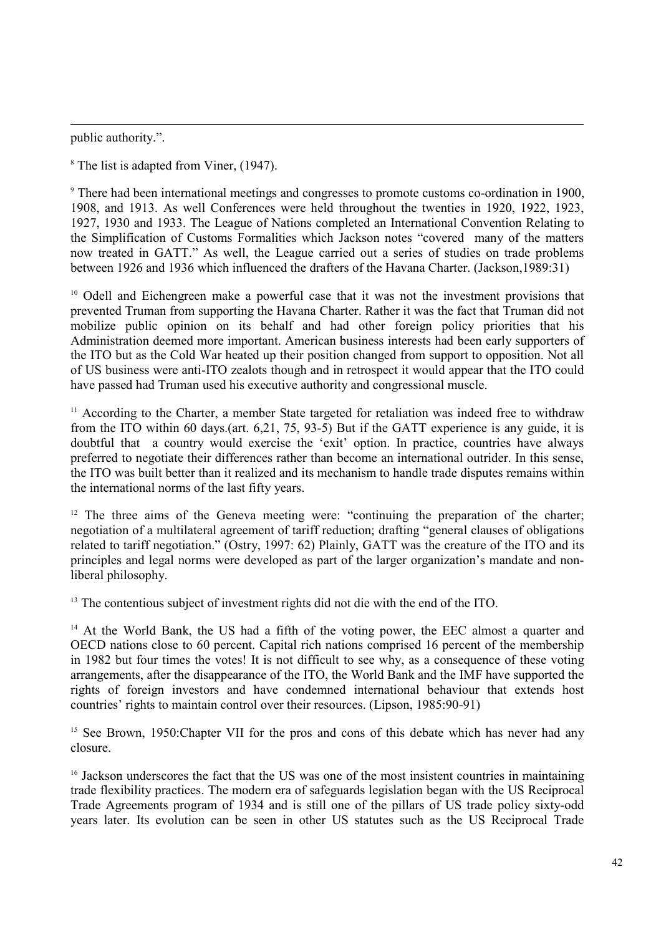public authority.".

 $\overline{a}$ 

<sup>8</sup> The list is adapted from Viner, (1947).

<sup>9</sup> There had been international meetings and congresses to promote customs co-ordination in 1900, 1908, and 1913. As well Conferences were held throughout the twenties in 1920, 1922, 1923, 1927, 1930 and 1933. The League of Nations completed an International Convention Relating to the Simplification of Customs Formalities which Jackson notes "covered many of the matters now treated in GATT." As well, the League carried out a series of studies on trade problems between 1926 and 1936 which influenced the drafters of the Havana Charter. (Jackson,1989:31)

<sup>10</sup> Odell and Eichengreen make a powerful case that it was not the investment provisions that prevented Truman from supporting the Havana Charter. Rather it was the fact that Truman did not mobilize public opinion on its behalf and had other foreign policy priorities that his Administration deemed more important. American business interests had been early supporters of the ITO but as the Cold War heated up their position changed from support to opposition. Not all of US business were anti-ITO zealots though and in retrospect it would appear that the ITO could have passed had Truman used his executive authority and congressional muscle.

<sup>11</sup> According to the Charter, a member State targeted for retaliation was indeed free to withdraw from the ITO within 60 days.(art. 6,21, 75, 93-5) But if the GATT experience is any guide, it is doubtful that a country would exercise the 'exit' option. In practice, countries have always preferred to negotiate their differences rather than become an international outrider. In this sense, the ITO was built better than it realized and its mechanism to handle trade disputes remains within the international norms of the last fifty years.

<sup>12</sup> The three aims of the Geneva meeting were: "continuing the preparation of the charter; negotiation of a multilateral agreement of tariff reduction; drafting "general clauses of obligations related to tariff negotiation." (Ostry, 1997: 62) Plainly, GATT was the creature of the ITO and its principles and legal norms were developed as part of the larger organization's mandate and nonliberal philosophy.

<sup>13</sup> The contentious subject of investment rights did not die with the end of the ITO.

<sup>14</sup> At the World Bank, the US had a fifth of the voting power, the EEC almost a quarter and OECD nations close to 60 percent. Capital rich nations comprised 16 percent of the membership in 1982 but four times the votes! It is not difficult to see why, as a consequence of these voting arrangements, after the disappearance of the ITO, the World Bank and the IMF have supported the rights of foreign investors and have condemned international behaviour that extends host countries' rights to maintain control over their resources. (Lipson, 1985:90-91)

<sup>15</sup> See Brown, 1950: Chapter VII for the pros and cons of this debate which has never had any closure.

<sup>16</sup> Jackson underscores the fact that the US was one of the most insistent countries in maintaining trade flexibility practices. The modern era of safeguards legislation began with the US Reciprocal Trade Agreements program of 1934 and is still one of the pillars of US trade policy sixty-odd years later. Its evolution can be seen in other US statutes such as the US Reciprocal Trade